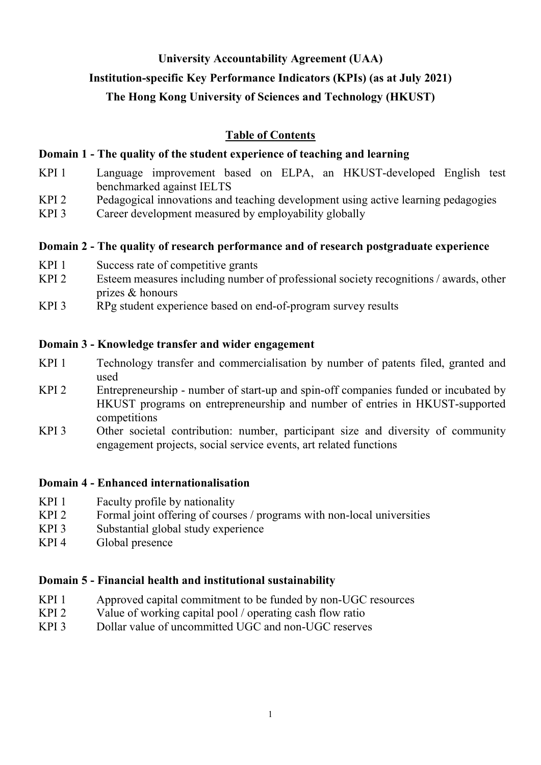### **University Accountability Agreement (UAA)**

## **Institution-specific Key Performance Indicators (KPIs) (as at July 2021)**

# **The Hong Kong University of Sciences and Technology (HKUST)**

# **Table of Contents**

# **Domain 1 - The quality of the student experience of teaching and learning**

- KPI 1 Language improvement based on ELPA, an HKUST-developed English test benchmarked against IELTS
- KPI 2 Pedagogical innovations and teaching development using active learning pedagogies
- KPI 3 Career development measured by employability globally

### **Domain 2 - The quality of research performance and of research postgraduate experience**

- KPI 1 Success rate of competitive grants
- KPI 2 Esteem measures including number of professional society recognitions / awards, other prizes & honours
- KPI 3 RPg student experience based on end-of-program survey results

### **Domain 3 - Knowledge transfer and wider engagement**

- KPI 1 Technology transfer and commercialisation by number of patents filed, granted and used
- KPI 2 Entrepreneurship number of start-up and spin-off companies funded or incubated by HKUST programs on entrepreneurship and number of entries in HKUST-supported competitions
- KPI 3 Other societal contribution: number, participant size and diversity of community engagement projects, social service events, art related functions

### **Domain 4 - Enhanced internationalisation**

- KPI 1 Faculty profile by nationality
- KPI 2 Formal joint offering of courses / programs with non-local universities
- KPI 3 Substantial global study experience
- KPI 4 Global presence

# **Domain 5 - Financial health and institutional sustainability**

- KPI 1 Approved capital commitment to be funded by non-UGC resources
- KPI 2 Value of working capital pool / operating cash flow ratio
- KPI 3 Dollar value of uncommitted UGC and non-UGC reserves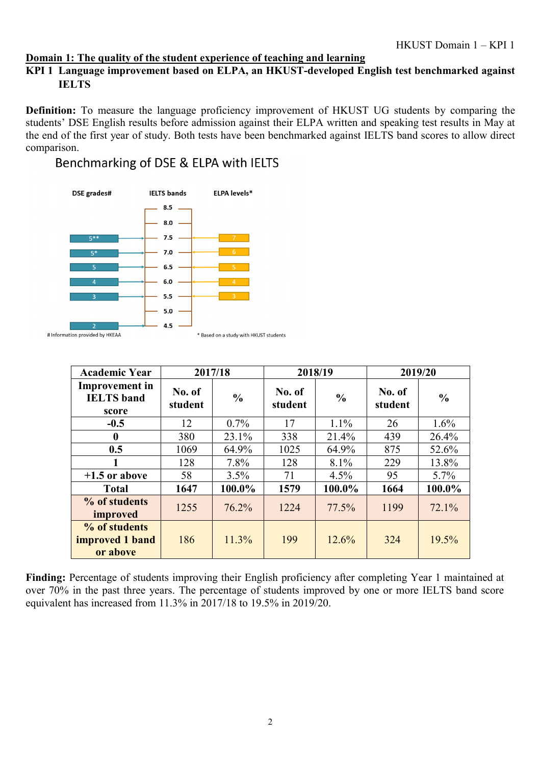#### **Domain 1: The quality of the student experience of teaching and learning**

### **KPI 1 Language improvement based on ELPA, an HKUST-developed English test benchmarked against IELTS**

**Definition:** To measure the language proficiency improvement of HKUST UG students by comparing the students' DSE English results before admission against their ELPA written and speaking test results in May at the end of the first year of study. Both tests have been benchmarked against IELTS band scores to allow direct comparison.

## Benchmarking of DSE & ELPA with IELTS



| <b>Academic Year</b>                                | 2017/18           |               | 2018/19           |               | 2019/20           |               |
|-----------------------------------------------------|-------------------|---------------|-------------------|---------------|-------------------|---------------|
| <b>Improvement</b> in<br><b>IELTS</b> band<br>score | No. of<br>student | $\frac{6}{9}$ | No. of<br>student | $\frac{0}{0}$ | No. of<br>student | $\frac{0}{0}$ |
| $-0.5$                                              | 12                | $0.7\%$       | 17                | $1.1\%$       | 26                | 1.6%          |
| $\bf{0}$                                            | 380               | 23.1%         | 338               | 21.4%         | 439               | 26.4%         |
| 0.5                                                 | 1069              | 64.9%         | 1025              | 64.9%         | 875               | 52.6%         |
|                                                     | 128               | 7.8%          | 128               | 8.1%          | 229               | 13.8%         |
| $+1.5$ or above                                     | 58                | 3.5%          | 71                | 4.5%          | 95                | $5.7\%$       |
| <b>Total</b>                                        | 1647              | 100.0%        | 1579              | 100.0%        | 1664              | 100.0%        |
| % of students<br>improved                           | 1255              | 76.2%         | 1224              | 77.5%         | 1199              | 72.1%         |
| % of students<br>improved 1 band<br>or above        | 186               | 11.3%         | 199               | 12.6%         | 324               | 19.5%         |

**Finding:** Percentage of students improving their English proficiency after completing Year 1 maintained at over 70% in the past three years. The percentage of students improved by one or more IELTS band score equivalent has increased from 11.3% in 2017/18 to 19.5% in 2019/20.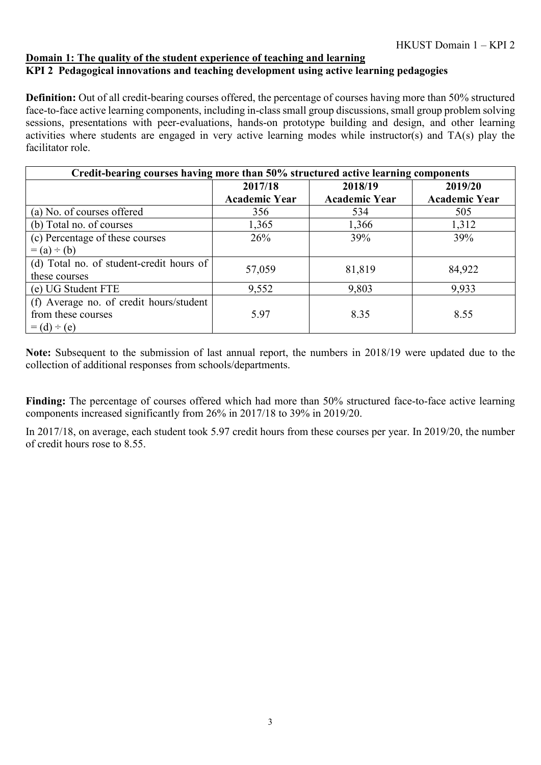#### **Domain 1: The quality of the student experience of teaching and learning KPI 2 Pedagogical innovations and teaching development using active learning pedagogies**

**Definition:** Out of all credit-bearing courses offered, the percentage of courses having more than 50% structured face-to-face active learning components, including in-class small group discussions, small group problem solving sessions, presentations with peer-evaluations, hands-on prototype building and design, and other learning activities where students are engaged in very active learning modes while instructor(s) and TA(s) play the facilitator role.

| Credit-bearing courses having more than 50% structured active learning components |                      |                      |                      |  |  |  |  |  |
|-----------------------------------------------------------------------------------|----------------------|----------------------|----------------------|--|--|--|--|--|
|                                                                                   | 2017/18              | 2018/19              | 2019/20              |  |  |  |  |  |
|                                                                                   | <b>Academic Year</b> | <b>Academic Year</b> | <b>Academic Year</b> |  |  |  |  |  |
| (a) No. of courses offered                                                        | 356                  | 534                  | 505                  |  |  |  |  |  |
| (b) Total no. of courses                                                          | 1,365                | 1,366                | 1,312                |  |  |  |  |  |
| (c) Percentage of these courses                                                   | 26%                  | 39%                  | 39%                  |  |  |  |  |  |
| $= (a) \div (b)$                                                                  |                      |                      |                      |  |  |  |  |  |
| (d) Total no. of student-credit hours of                                          | 57,059               | 81,819               | 84,922               |  |  |  |  |  |
| these courses                                                                     |                      |                      |                      |  |  |  |  |  |
| (e) UG Student FTE                                                                | 9,552                | 9,803                | 9,933                |  |  |  |  |  |
| (f) Average no. of credit hours/student                                           |                      |                      |                      |  |  |  |  |  |
| from these courses                                                                | 5.97                 | 8.35                 | 8.55                 |  |  |  |  |  |
| $= (d) \div (e)$                                                                  |                      |                      |                      |  |  |  |  |  |

**Note:** Subsequent to the submission of last annual report, the numbers in 2018/19 were updated due to the collection of additional responses from schools/departments.

**Finding:** The percentage of courses offered which had more than 50% structured face-to-face active learning components increased significantly from 26% in 2017/18 to 39% in 2019/20.

In 2017/18, on average, each student took 5.97 credit hours from these courses per year. In 2019/20, the number of credit hours rose to 8.55.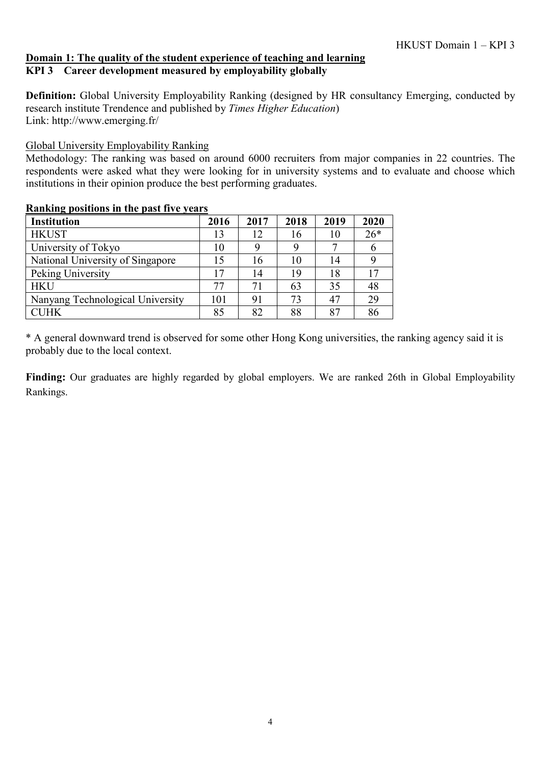### **Domain 1: The quality of the student experience of teaching and learning KPI 3 Career development measured by employability globally**

**Definition:** Global University Employability Ranking (designed by HR consultancy Emerging, conducted by research institute Trendence and published by *Times Higher Education*) Link: http://www.emerging.fr/

### Global University Employability Ranking

Methodology: The ranking was based on around 6000 recruiters from major companies in 22 countries. The respondents were asked what they were looking for in university systems and to evaluate and choose which institutions in their opinion produce the best performing graduates.

#### **Ranking positions in the past five years**

| <b>Institution</b>               | 2016 | 2017 | 2018 | 2019 | 2020  |
|----------------------------------|------|------|------|------|-------|
| <b>HKUST</b>                     | 13   | 12   | 16   | 10   | $26*$ |
| University of Tokyo              | 10   |      | 9    |      |       |
| National University of Singapore |      | 16   | 10   | 14   |       |
| Peking University                |      | 14   | 19   | 18   | 17    |
| <b>HKU</b>                       | 77   | 71   | 63   | 35   | 48    |
| Nanyang Technological University | 101  | 91   | 73   | 47   | 29    |
| <b>CUHK</b>                      | 85   | 82   | 88   | 87   | 86    |

\* A general downward trend is observed for some other Hong Kong universities, the ranking agency said it is probably due to the local context.

**Finding:** Our graduates are highly regarded by global employers. We are ranked 26th in Global Employability Rankings.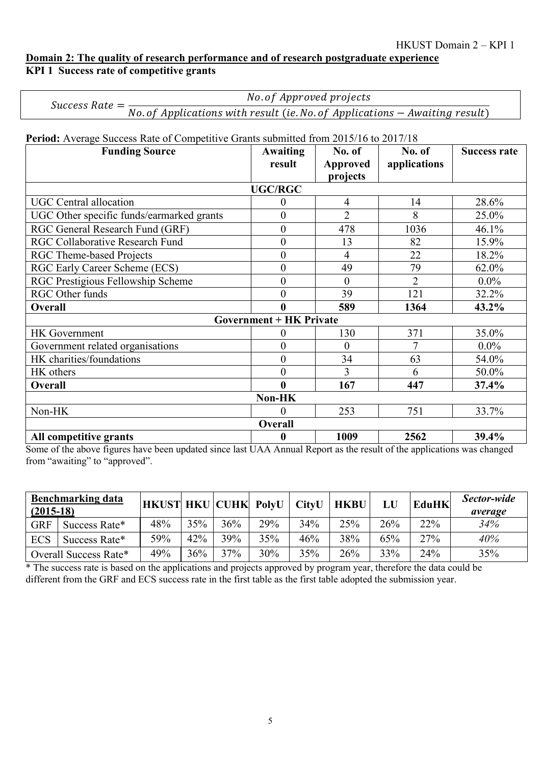#### **Domain 2: The quality of research performance and of research postgraduate experience KPI 1 Success rate of competitive grants**

| Success Rate $=$ | No. of Approved projects                                                      |
|------------------|-------------------------------------------------------------------------------|
|                  | No. of Applications with result (ie. No. of Applications $-$ Awaiting result) |

Period: Average Success Rate of Competitive Grants submitted from 2015/16 to 2017/18

| <b>Funding Source</b>                     | <b>Awaiting</b>                | No. of          | No. of         | <b>Success rate</b> |
|-------------------------------------------|--------------------------------|-----------------|----------------|---------------------|
|                                           | result                         | <b>Approved</b> | applications   |                     |
|                                           |                                | projects        |                |                     |
|                                           | <b>UGC/RGC</b>                 |                 |                |                     |
| <b>UGC</b> Central allocation             | $\pmb{0}$                      | $\overline{4}$  | 14             | 28.6%               |
| UGC Other specific funds/earmarked grants | $\overline{0}$                 | $\overline{2}$  | 8              | 25.0%               |
| RGC General Research Fund (GRF)           | $\boldsymbol{0}$               | 478             | 1036           | 46.1%               |
| <b>RGC Collaborative Research Fund</b>    | $\overline{0}$                 | 13              | 82             | 15.9%               |
| <b>RGC Theme-based Projects</b>           | $\overline{0}$                 | 4               | 22             | 18.2%               |
| RGC Early Career Scheme (ECS)             | $\overline{0}$                 | 49              | 79             | 62.0%               |
| RGC Prestigious Fellowship Scheme         | $\overline{0}$                 | $\overline{0}$  | $\overline{2}$ | $0.0\%$             |
| RGC Other funds                           | $\overline{0}$                 | 39              | 121            | 32.2%               |
| Overall                                   | $\bf{0}$                       | 589             | 1364           | 43.2%               |
|                                           | <b>Government + HK Private</b> |                 |                |                     |
| <b>HK</b> Government                      | 0                              | 130             | 371            | 35.0%               |
| Government related organisations          | $\overline{0}$                 | 0               | 7              | $0.0\%$             |
| HK charities/foundations                  | $\boldsymbol{0}$               | 34              | 63             | 54.0%               |
| HK others                                 | $\overline{0}$                 | 3               | 6              | 50.0%               |
| Overall                                   | $\bf{0}$                       | 167             | 447            | 37.4%               |
|                                           | Non-HK                         |                 |                |                     |
| Non-HK                                    | $\theta$                       | 253             | 751            | 33.7%               |
|                                           | Overall                        |                 |                |                     |
| All competitive grants                    | $\boldsymbol{0}$               | 1009            | 2562           | 39.4%               |

Some of the above figures have been updated since last UAA Annual Report as the result of the applications was changed from "awaiting" to "approved".

| $(2015-18)$ | <b>Benchmarking data</b> | <b>HKUST HKU CUHK PolyU</b> |     |     |     | <b>CityU</b> | <b>HKBU</b> | LU  | <b>EduHK</b> | Sector-wide<br>average |
|-------------|--------------------------|-----------------------------|-----|-----|-----|--------------|-------------|-----|--------------|------------------------|
| <b>GRF</b>  | Success Rate*            | 48%                         | 35% | 36% | 29% | 34%          | 25%         | 26% | 22%          | 34%                    |
| <b>ECS</b>  | Success Rate*            | 59%                         | 42% | 39% | 35% | 46%          | 38%         | 65% | 27%          | 40%                    |
|             | Overall Success Rate*    | 49%                         | 36% | 37% | 30% | 35%          | 26%         | 33% | 24%          | 35%                    |

\* The success rate is based on the applications and projects approved by program year, therefore the data could be different from the GRF and ECS success rate in the first table as the first table adopted the submission year.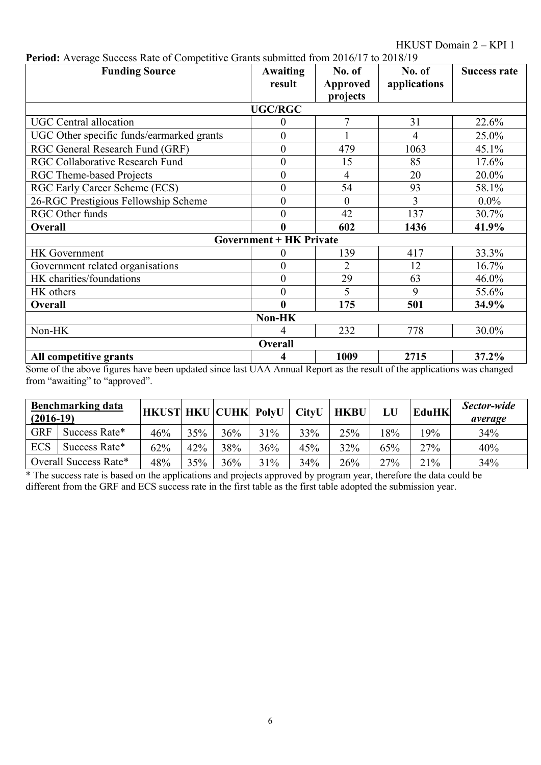HKUST Domain 2 – KPI 1

| <b>Funding Source</b>                     | <b>Awaiting</b>                | No. of          | No. of       | <b>Success rate</b> |  |  |  |  |  |  |
|-------------------------------------------|--------------------------------|-----------------|--------------|---------------------|--|--|--|--|--|--|
|                                           | result                         | <b>Approved</b> | applications |                     |  |  |  |  |  |  |
|                                           |                                | projects        |              |                     |  |  |  |  |  |  |
|                                           | <b>UGC/RGC</b>                 |                 |              |                     |  |  |  |  |  |  |
| <b>UGC</b> Central allocation             | 0                              | 7               | 31           | 22.6%               |  |  |  |  |  |  |
| UGC Other specific funds/earmarked grants | $\overline{0}$                 |                 | 4            | 25.0%               |  |  |  |  |  |  |
| RGC General Research Fund (GRF)           | $\overline{0}$                 | 479             | 1063         | 45.1%               |  |  |  |  |  |  |
| <b>RGC Collaborative Research Fund</b>    | $\overline{0}$                 | 15              | 85           | 17.6%               |  |  |  |  |  |  |
| <b>RGC Theme-based Projects</b>           | $\boldsymbol{0}$               | $\overline{4}$  | 20           | 20.0%               |  |  |  |  |  |  |
| RGC Early Career Scheme (ECS)             | $\boldsymbol{0}$               | 54              | 93           | 58.1%               |  |  |  |  |  |  |
| 26-RGC Prestigious Fellowship Scheme      | $\boldsymbol{0}$               | $\theta$        | 3            | $0.0\%$             |  |  |  |  |  |  |
| RGC Other funds                           | $\overline{0}$                 | 42              | 137          | 30.7%               |  |  |  |  |  |  |
| Overall                                   | $\bf{0}$                       | 602             | 1436         | 41.9%               |  |  |  |  |  |  |
|                                           | <b>Government + HK Private</b> |                 |              |                     |  |  |  |  |  |  |
| <b>HK</b> Government                      | 0                              | 139             | 417          | 33.3%               |  |  |  |  |  |  |
| Government related organisations          | $\boldsymbol{0}$               | $\overline{2}$  | 12           | 16.7%               |  |  |  |  |  |  |
| HK charities/foundations                  | $\boldsymbol{0}$               | 29              | 63           | 46.0%               |  |  |  |  |  |  |
| HK others                                 | $\overline{0}$                 | 5               | 9            | 55.6%               |  |  |  |  |  |  |
| Overall                                   | $\bf{0}$                       | 175             | 501          | 34.9%               |  |  |  |  |  |  |
| Non-HK                                    |                                |                 |              |                     |  |  |  |  |  |  |
| Non-HK                                    | 4                              | 232             | 778          | 30.0%               |  |  |  |  |  |  |
|                                           | Overall                        |                 |              |                     |  |  |  |  |  |  |
| All competitive grants                    | 4                              | 1009            | 2715         | 37.2%               |  |  |  |  |  |  |

**Period:** Average Success Rate of Competitive Grants submitted from 2016/17 to 2018/19

Some of the above figures have been updated since last UAA Annual Report as the result of the applications was changed from "awaiting" to "approved".

| $(2016-19)$ | <b>Benchmarking data</b> | <b>HKUST HKU CUHK PolyU</b> |     |     |     | <b>CityU</b> | <b>HKBU</b> | LU  | <b>EduHK</b> | Sector-wide<br>average |
|-------------|--------------------------|-----------------------------|-----|-----|-----|--------------|-------------|-----|--------------|------------------------|
| <b>GRF</b>  | Success Rate*            | 46%                         | 35% | 36% | 31% | 33%          | 25%         | 18% | 19%          | 34%                    |
| <b>ECS</b>  | Success Rate*            | 62%                         | 42% | 38% | 36% | 45%          | 32%         | 65% | 27%          | 40%                    |
|             | Overall Success Rate*    | 48%                         | 35% | 36% | 31% | 34%          | 26%         | 27% | 21%          | 34%                    |

\* The success rate is based on the applications and projects approved by program year, therefore the data could be different from the GRF and ECS success rate in the first table as the first table adopted the submission year.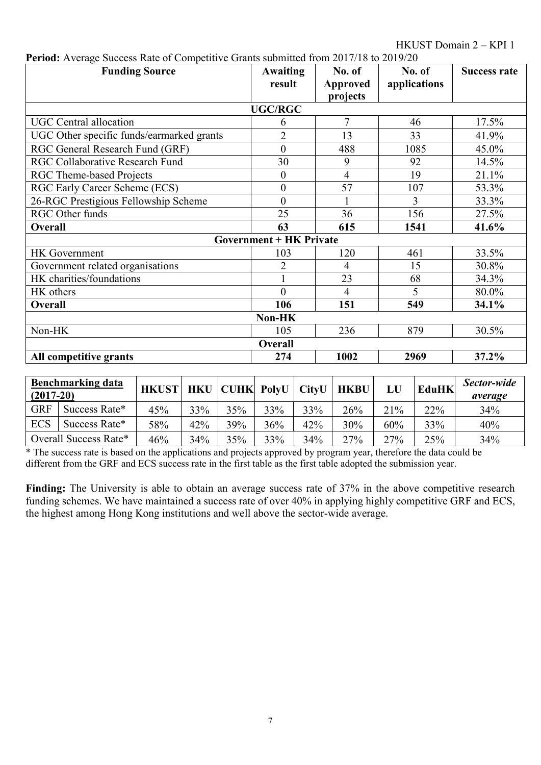HKUST Domain 2 – KPI 1

| I CHOU. AVERICE SUCCESS KILL OF COMPUTIVE CHAIRS SUBMITED HOM 2017/10 to 2017/20<br><b>Funding Source</b> | Awaiting<br>result             | No. of<br>Approved | No. of<br>applications | <b>Success rate</b> |  |  |  |  |  |  |
|-----------------------------------------------------------------------------------------------------------|--------------------------------|--------------------|------------------------|---------------------|--|--|--|--|--|--|
|                                                                                                           |                                | projects           |                        |                     |  |  |  |  |  |  |
| <b>UGC/RGC</b>                                                                                            |                                |                    |                        |                     |  |  |  |  |  |  |
| <b>UGC</b> Central allocation                                                                             | 6                              | $\overline{7}$     | 46                     | 17.5%               |  |  |  |  |  |  |
| UGC Other specific funds/earmarked grants                                                                 | $\overline{2}$                 | 13                 | 33                     | 41.9%               |  |  |  |  |  |  |
| RGC General Research Fund (GRF)                                                                           | $\overline{0}$                 | 488                | 1085                   | 45.0%               |  |  |  |  |  |  |
| RGC Collaborative Research Fund                                                                           | 30                             | 9                  | 92                     | 14.5%               |  |  |  |  |  |  |
| <b>RGC Theme-based Projects</b>                                                                           | $\boldsymbol{0}$               | $\overline{4}$     | 19                     | 21.1%               |  |  |  |  |  |  |
| RGC Early Career Scheme (ECS)                                                                             | $\boldsymbol{0}$               | 57                 | 107                    | 53.3%               |  |  |  |  |  |  |
| 26-RGC Prestigious Fellowship Scheme                                                                      | $\overline{0}$                 |                    | 3                      | 33.3%               |  |  |  |  |  |  |
| RGC Other funds                                                                                           | 25                             | 36                 | 156                    | 27.5%               |  |  |  |  |  |  |
| <b>Overall</b>                                                                                            | 63                             | 615                | 1541                   | 41.6%               |  |  |  |  |  |  |
|                                                                                                           | <b>Government + HK Private</b> |                    |                        |                     |  |  |  |  |  |  |
| <b>HK</b> Government                                                                                      | 103                            | 120                | 461                    | 33.5%               |  |  |  |  |  |  |
| Government related organisations                                                                          | $\overline{2}$                 | 4                  | 15                     | 30.8%               |  |  |  |  |  |  |
| HK charities/foundations                                                                                  |                                | 23                 | 68                     | 34.3%               |  |  |  |  |  |  |
| HK others                                                                                                 | $\theta$                       | 4                  | 5                      | 80.0%               |  |  |  |  |  |  |
| Overall                                                                                                   | 106                            | 151                | 549                    | 34.1%               |  |  |  |  |  |  |
|                                                                                                           | Non-HK                         |                    |                        |                     |  |  |  |  |  |  |
| Non-HK                                                                                                    | 105                            | 236                | 879                    | 30.5%               |  |  |  |  |  |  |
|                                                                                                           | <b>Overall</b>                 |                    |                        |                     |  |  |  |  |  |  |
| All competitive grants                                                                                    | 274                            | 1002               | 2969                   | 37.2%               |  |  |  |  |  |  |

| Period: Average Success Rate of Competitive Grants submitted from 2017/18 to 2019/20 |  |  |
|--------------------------------------------------------------------------------------|--|--|
|                                                                                      |  |  |

| $(2017-20)$ | <b>Benchmarking data</b> | <b>HKUST</b> | <b>HKU</b> |     | <b>CUHK PolyU</b> | <b>CityU</b> | <b>HKBU</b> | LU  | <b>EduHK</b> | Sector-wide<br>average |
|-------------|--------------------------|--------------|------------|-----|-------------------|--------------|-------------|-----|--------------|------------------------|
| <b>GRF</b>  | Success Rate*            | 45%          | 33%        | 35% | 33%               | 33%          | 26%         | 21% | 22%          | 34%                    |
| <b>ECS</b>  | Success Rate*            | 58%          | 42%        | 39% | 36%               | 42%          | 30%         | 60% | 33%          | 40%                    |
|             | Overall Success Rate*    | 46%          | 34%        | 35% | 33%               | 34%          | 27%         | 27% | 25%          | 34%                    |

\* The success rate is based on the applications and projects approved by program year, therefore the data could be different from the GRF and ECS success rate in the first table as the first table adopted the submission year.

Finding: The University is able to obtain an average success rate of 37% in the above competitive research funding schemes. We have maintained a success rate of over 40% in applying highly competitive GRF and ECS, the highest among Hong Kong institutions and well above the sector-wide average.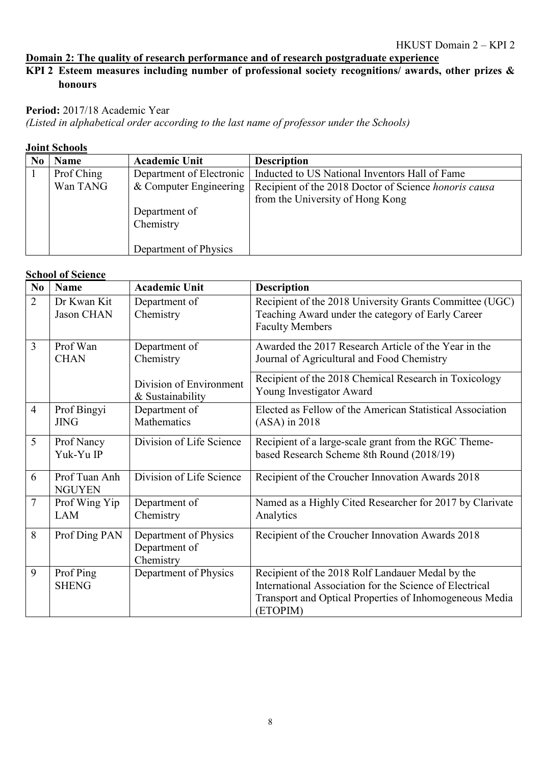### **Domain 2: The quality of research performance and of research postgraduate experience**

### **KPI 2 Esteem measures including number of professional society recognitions/ awards, other prizes & honours**

#### Period: 2017/18 Academic Year

*(Listed in alphabetical order according to the last name of professor under the Schools)*

#### **Joint Schools**

| <b>Name</b> | <b>Academic Unit</b>     | <b>Description</b>                                    |
|-------------|--------------------------|-------------------------------------------------------|
| Prof Ching  | Department of Electronic | Inducted to US National Inventors Hall of Fame        |
| Wan TANG    | & Computer Engineering   | Recipient of the 2018 Doctor of Science honoris causa |
|             |                          | from the University of Hong Kong                      |
|             | Department of            |                                                       |
|             | Chemistry                |                                                       |
|             |                          |                                                       |
|             | Department of Physics    |                                                       |

### **School of Science**

| No             | <b>Name</b>                      | <b>Academic Unit</b>                                | <b>Description</b>                                                                                                                                                                 |
|----------------|----------------------------------|-----------------------------------------------------|------------------------------------------------------------------------------------------------------------------------------------------------------------------------------------|
| 2              | Dr Kwan Kit<br><b>Jason CHAN</b> | Department of<br>Chemistry                          | Recipient of the 2018 University Grants Committee (UGC)<br>Teaching Award under the category of Early Career<br><b>Faculty Members</b>                                             |
| 3              | Prof Wan<br><b>CHAN</b>          | Department of<br>Chemistry                          | Awarded the 2017 Research Article of the Year in the<br>Journal of Agricultural and Food Chemistry                                                                                 |
|                |                                  | Division of Environment<br>& Sustainability         | Recipient of the 2018 Chemical Research in Toxicology<br>Young Investigator Award                                                                                                  |
| $\overline{4}$ | Prof Bingyi<br><b>JING</b>       | Department of<br>Mathematics                        | Elected as Fellow of the American Statistical Association<br>$(ASA)$ in 2018                                                                                                       |
| 5              | Prof Nancy<br>Yuk-Yu IP          | Division of Life Science                            | Recipient of a large-scale grant from the RGC Theme-<br>based Research Scheme 8th Round (2018/19)                                                                                  |
| 6              | Prof Tuan Anh<br><b>NGUYEN</b>   | Division of Life Science                            | Recipient of the Croucher Innovation Awards 2018                                                                                                                                   |
| 7              | Prof Wing Yip<br>LAM             | Department of<br>Chemistry                          | Named as a Highly Cited Researcher for 2017 by Clarivate<br>Analytics                                                                                                              |
| 8              | Prof Ding PAN                    | Department of Physics<br>Department of<br>Chemistry | Recipient of the Croucher Innovation Awards 2018                                                                                                                                   |
| 9              | Prof Ping<br><b>SHENG</b>        | Department of Physics                               | Recipient of the 2018 Rolf Landauer Medal by the<br>International Association for the Science of Electrical<br>Transport and Optical Properties of Inhomogeneous Media<br>(ETOPIM) |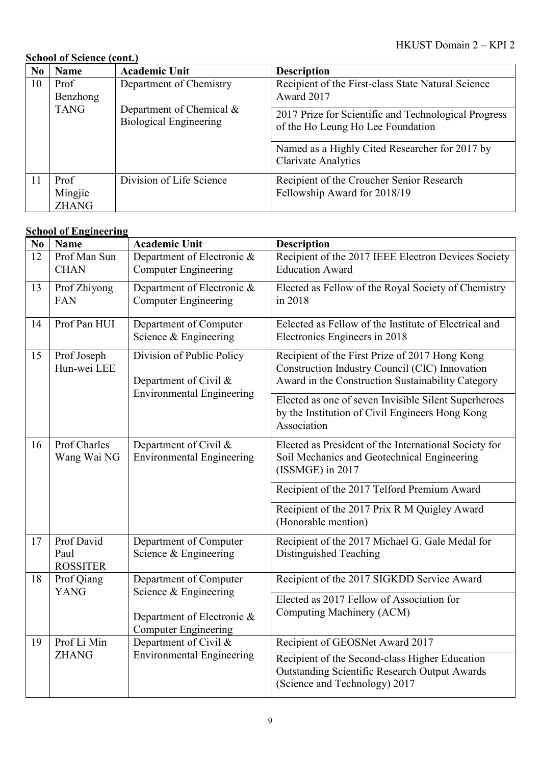# **School of Science (cont.)**

| N <sub>0</sub> | <b>Name</b>                     | <b>Academic Unit</b>                                      | <b>Description</b>                                                                        |
|----------------|---------------------------------|-----------------------------------------------------------|-------------------------------------------------------------------------------------------|
| 10             | Prof                            | Department of Chemistry                                   | Recipient of the First-class State Natural Science                                        |
|                | Benzhong                        |                                                           | Award 2017                                                                                |
|                | <b>TANG</b>                     | Department of Chemical &<br><b>Biological Engineering</b> | 2017 Prize for Scientific and Technological Progress<br>of the Ho Leung Ho Lee Foundation |
|                |                                 |                                                           | Named as a Highly Cited Researcher for 2017 by<br><b>Clarivate Analytics</b>              |
| <sup>11</sup>  | Prof<br>Mingjie<br><b>ZHANG</b> | Division of Life Science                                  | Recipient of the Croucher Senior Research<br>Fellowship Award for 2018/19                 |

# **School of Engineering**

| No                                                                                     | <b>Name</b>                           | <b>Academic Unit</b>                                      | <b>Description</b>                                                                                                                                    |
|----------------------------------------------------------------------------------------|---------------------------------------|-----------------------------------------------------------|-------------------------------------------------------------------------------------------------------------------------------------------------------|
| 12                                                                                     | Prof Man Sun<br><b>CHAN</b>           | Department of Electronic &<br><b>Computer Engineering</b> | Recipient of the 2017 IEEE Electron Devices Society<br><b>Education Award</b>                                                                         |
| 13                                                                                     | Prof Zhiyong<br><b>FAN</b>            | Department of Electronic &<br><b>Computer Engineering</b> | Elected as Fellow of the Royal Society of Chemistry<br>in 2018                                                                                        |
| 14                                                                                     | Prof Pan HUI                          | Department of Computer<br>Science & Engineering           | Eelected as Fellow of the Institute of Electrical and<br>Electronics Engineers in 2018                                                                |
| 15<br>Prof Joseph<br>Division of Public Policy<br>Hun-wei LEE<br>Department of Civil & |                                       |                                                           | Recipient of the First Prize of 2017 Hong Kong<br>Construction Industry Council (CIC) Innovation<br>Award in the Construction Sustainability Category |
|                                                                                        | <b>Environmental Engineering</b>      |                                                           | Elected as one of seven Invisible Silent Superheroes<br>by the Institution of Civil Engineers Hong Kong<br>Association                                |
| 16                                                                                     | Prof Charles<br>Wang Wai NG           | Department of Civil &<br><b>Environmental Engineering</b> | Elected as President of the International Society for<br>Soil Mechanics and Geotechnical Engineering<br>(ISSMGE) in 2017                              |
|                                                                                        |                                       |                                                           | Recipient of the 2017 Telford Premium Award                                                                                                           |
|                                                                                        |                                       |                                                           | Recipient of the 2017 Prix R M Quigley Award<br>(Honorable mention)                                                                                   |
| 17                                                                                     | Prof David<br>Paul<br><b>ROSSITER</b> | Department of Computer<br>Science & Engineering           | Recipient of the 2017 Michael G. Gale Medal for<br>Distinguished Teaching                                                                             |
| 18                                                                                     | Prof Qiang<br><b>YANG</b>             | Department of Computer<br>Science & Engineering           | Recipient of the 2017 SIGKDD Service Award                                                                                                            |
|                                                                                        |                                       | Department of Electronic &<br><b>Computer Engineering</b> | Elected as 2017 Fellow of Association for<br>Computing Machinery (ACM)                                                                                |
| 19                                                                                     | Prof Li Min                           | Department of Civil &                                     | Recipient of GEOSNet Award 2017                                                                                                                       |
|                                                                                        | <b>ZHANG</b>                          | <b>Environmental Engineering</b>                          | Recipient of the Second-class Higher Education<br><b>Outstanding Scientific Research Output Awards</b><br>(Science and Technology) 2017               |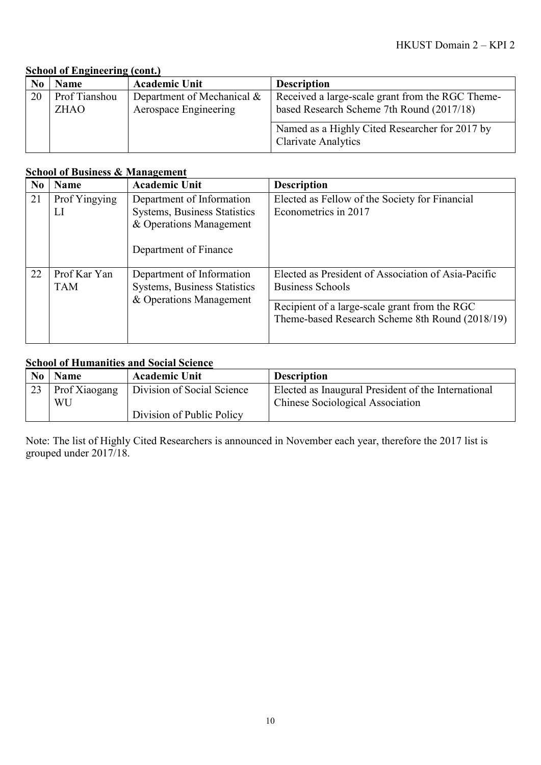| N <sub>0</sub> | Name          | <b>Academic Unit</b>       | <b>Description</b>                                                           |
|----------------|---------------|----------------------------|------------------------------------------------------------------------------|
| 20             | Prof Tianshou | Department of Mechanical & | Received a large-scale grant from the RGC Theme-                             |
|                | <b>ZHAO</b>   | Aerospace Engineering      | based Research Scheme 7th Round (2017/18)                                    |
|                |               |                            | Named as a Highly Cited Researcher for 2017 by<br><b>Clarivate Analytics</b> |

#### **School of Business & Management**

| N <sub>0</sub> | <b>Name</b>   | <b>Academic Unit</b>                | <b>Description</b>                                  |
|----------------|---------------|-------------------------------------|-----------------------------------------------------|
| 21             | Prof Yingying | Department of Information           | Elected as Fellow of the Society for Financial      |
|                | LI            | <b>Systems, Business Statistics</b> | Econometrics in 2017                                |
|                |               | & Operations Management             |                                                     |
|                |               | Department of Finance               |                                                     |
| 22             | Prof Kar Yan  | Department of Information           | Elected as President of Association of Asia-Pacific |
|                | <b>TAM</b>    | <b>Systems, Business Statistics</b> | <b>Business Schools</b>                             |
|                |               | & Operations Management             | Recipient of a large-scale grant from the RGC       |
|                |               |                                     | Theme-based Research Scheme 8th Round (2018/19)     |
|                |               |                                     |                                                     |

### **School of Humanities and Social Science**

| N <sub>0</sub> | <b>Name</b>         | <b>Academic Unit</b>       | <b>Description</b>                                                                      |
|----------------|---------------------|----------------------------|-----------------------------------------------------------------------------------------|
| 23             | Prof Xiaogang<br>WU | Division of Social Science | Elected as Inaugural President of the International<br>Chinese Sociological Association |
|                |                     | Division of Public Policy  |                                                                                         |

Note: The list of Highly Cited Researchers is announced in November each year, therefore the 2017 list is grouped under 2017/18.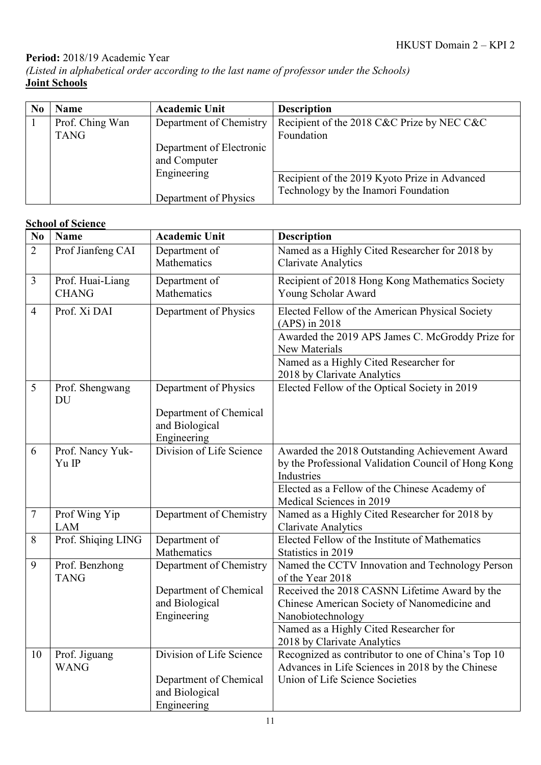# **Period:** 2018/19 Academic Year

*(Listed in alphabetical order according to the last name of professor under the Schools)* **Joint Schools**

| N <sub>0</sub> | <b>Name</b>     | <b>Academic Unit</b>     | <b>Description</b>                            |
|----------------|-----------------|--------------------------|-----------------------------------------------|
|                | Prof. Ching Wan | Department of Chemistry  | Recipient of the 2018 C&C Prize by NEC C&C    |
|                | <b>TANG</b>     |                          | Foundation                                    |
|                |                 | Department of Electronic |                                               |
|                |                 | and Computer             |                                               |
|                |                 | Engineering              | Recipient of the 2019 Kyoto Prize in Advanced |
|                |                 |                          | Technology by the Inamori Foundation          |
|                |                 | Department of Physics    |                                               |

### **School of Science**

| N <sub>0</sub> | <b>Name</b>                   | <b>Academic Unit</b>     | <b>Description</b>                                                  |
|----------------|-------------------------------|--------------------------|---------------------------------------------------------------------|
| $\overline{2}$ | Prof Jianfeng CAI             | Department of            | Named as a Highly Cited Researcher for 2018 by                      |
|                |                               | Mathematics              | <b>Clarivate Analytics</b>                                          |
| 3              | Prof. Huai-Liang              | Department of            | Recipient of 2018 Hong Kong Mathematics Society                     |
|                | <b>CHANG</b>                  | Mathematics              | Young Scholar Award                                                 |
| $\overline{4}$ | Prof. Xi DAI                  | Department of Physics    | Elected Fellow of the American Physical Society                     |
|                |                               |                          | (APS) in 2018                                                       |
|                |                               |                          | Awarded the 2019 APS James C. McGroddy Prize for                    |
|                |                               |                          | New Materials                                                       |
|                |                               |                          | Named as a Highly Cited Researcher for                              |
|                |                               |                          | 2018 by Clarivate Analytics                                         |
| 5              | Prof. Shengwang<br>DU         | Department of Physics    | Elected Fellow of the Optical Society in 2019                       |
|                |                               | Department of Chemical   |                                                                     |
|                |                               | and Biological           |                                                                     |
|                |                               | Engineering              |                                                                     |
| 6              | Prof. Nancy Yuk-              | Division of Life Science | Awarded the 2018 Outstanding Achievement Award                      |
|                | Yu IP                         |                          | by the Professional Validation Council of Hong Kong                 |
|                |                               |                          | <b>Industries</b>                                                   |
|                |                               |                          | Elected as a Fellow of the Chinese Academy of                       |
|                |                               |                          | Medical Sciences in 2019                                            |
| $\tau$         | Prof Wing Yip                 | Department of Chemistry  | Named as a Highly Cited Researcher for 2018 by                      |
|                | <b>LAM</b>                    |                          | <b>Clarivate Analytics</b>                                          |
| 8              | Prof. Shiqing LING            | Department of            | Elected Fellow of the Institute of Mathematics                      |
|                |                               | Mathematics              | Statistics in 2019                                                  |
| 9              | Prof. Benzhong<br><b>TANG</b> | Department of Chemistry  | Named the CCTV Innovation and Technology Person<br>of the Year 2018 |
|                |                               | Department of Chemical   | Received the 2018 CASNN Lifetime Award by the                       |
|                |                               | and Biological           | Chinese American Society of Nanomedicine and                        |
|                |                               | Engineering              | Nanobiotechnology                                                   |
|                |                               |                          | Named as a Highly Cited Researcher for                              |
|                |                               |                          | 2018 by Clarivate Analytics                                         |
| 10             | Prof. Jiguang                 | Division of Life Science | Recognized as contributor to one of China's Top 10                  |
|                | <b>WANG</b>                   |                          | Advances in Life Sciences in 2018 by the Chinese                    |
|                |                               | Department of Chemical   | Union of Life Science Societies                                     |
|                |                               | and Biological           |                                                                     |
|                |                               | Engineering              |                                                                     |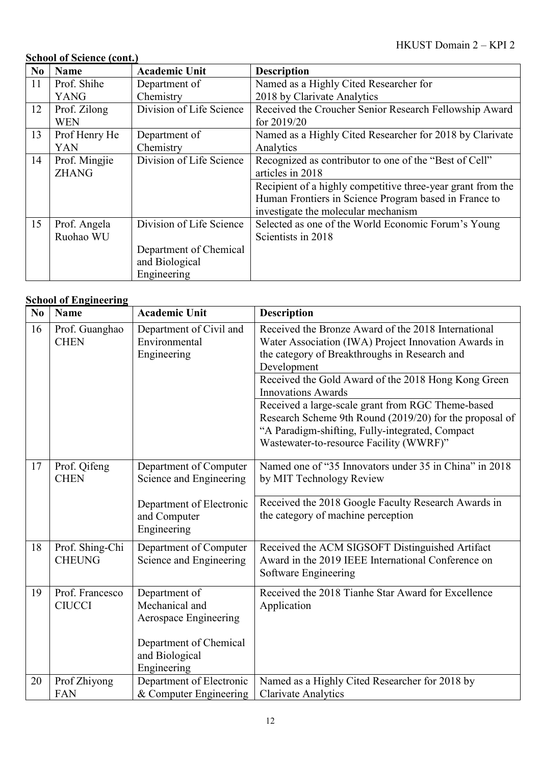# **School of Science (cont.)**

| N <sub>0</sub> | <b>Name</b>   | <b>Academic Unit</b>     | <b>Description</b>                                          |  |
|----------------|---------------|--------------------------|-------------------------------------------------------------|--|
| 11             | Prof. Shihe   | Department of            | Named as a Highly Cited Researcher for                      |  |
|                | <b>YANG</b>   | Chemistry                | 2018 by Clarivate Analytics                                 |  |
| 12             | Prof. Zilong  | Division of Life Science | Received the Croucher Senior Research Fellowship Award      |  |
|                | <b>WEN</b>    |                          | for $2019/20$                                               |  |
| 13             | Prof Henry He | Department of            | Named as a Highly Cited Researcher for 2018 by Clarivate    |  |
|                | <b>YAN</b>    | Chemistry                | Analytics                                                   |  |
| 14             | Prof. Mingjie | Division of Life Science | Recognized as contributor to one of the "Best of Cell"      |  |
|                | <b>ZHANG</b>  |                          | articles in 2018                                            |  |
|                |               |                          | Recipient of a highly competitive three-year grant from the |  |
|                |               |                          | Human Frontiers in Science Program based in France to       |  |
|                |               |                          | investigate the molecular mechanism                         |  |
| 15             | Prof. Angela  | Division of Life Science | Selected as one of the World Economic Forum's Young         |  |
|                | Ruohao WU     |                          | Scientists in 2018                                          |  |
|                |               | Department of Chemical   |                                                             |  |
|                |               | and Biological           |                                                             |  |
|                |               | Engineering              |                                                             |  |

### **School of Engineering**

| N <sub>0</sub> | <b>Name</b>                      | <b>Academic Unit</b>                                                                                                | <b>Description</b>                                                                                                                                                                                                                                                                                                                                                                                                                                                            |
|----------------|----------------------------------|---------------------------------------------------------------------------------------------------------------------|-------------------------------------------------------------------------------------------------------------------------------------------------------------------------------------------------------------------------------------------------------------------------------------------------------------------------------------------------------------------------------------------------------------------------------------------------------------------------------|
| 16             | Prof. Guanghao<br><b>CHEN</b>    | Department of Civil and<br>Environmental<br>Engineering                                                             | Received the Bronze Award of the 2018 International<br>Water Association (IWA) Project Innovation Awards in<br>the category of Breakthroughs in Research and<br>Development<br>Received the Gold Award of the 2018 Hong Kong Green<br><b>Innovations Awards</b><br>Received a large-scale grant from RGC Theme-based<br>Research Scheme 9th Round (2019/20) for the proposal of<br>"A Paradigm-shifting, Fully-integrated, Compact<br>Wastewater-to-resource Facility (WWRF)" |
| 17             | Prof. Qifeng<br><b>CHEN</b>      | Department of Computer<br>Science and Engineering<br>Department of Electronic<br>and Computer<br>Engineering        | Named one of "35 Innovators under 35 in China" in 2018<br>by MIT Technology Review<br>Received the 2018 Google Faculty Research Awards in<br>the category of machine perception                                                                                                                                                                                                                                                                                               |
| 18             | Prof. Shing-Chi<br><b>CHEUNG</b> | Department of Computer<br>Science and Engineering                                                                   | Received the ACM SIGSOFT Distinguished Artifact<br>Award in the 2019 IEEE International Conference on<br>Software Engineering                                                                                                                                                                                                                                                                                                                                                 |
| 19             | Prof. Francesco<br><b>CIUCCI</b> | Department of<br>Mechanical and<br>Aerospace Engineering<br>Department of Chemical<br>and Biological<br>Engineering | Received the 2018 Tianhe Star Award for Excellence<br>Application                                                                                                                                                                                                                                                                                                                                                                                                             |
| 20             | Prof Zhiyong<br><b>FAN</b>       | Department of Electronic<br>& Computer Engineering                                                                  | Named as a Highly Cited Researcher for 2018 by<br><b>Clarivate Analytics</b>                                                                                                                                                                                                                                                                                                                                                                                                  |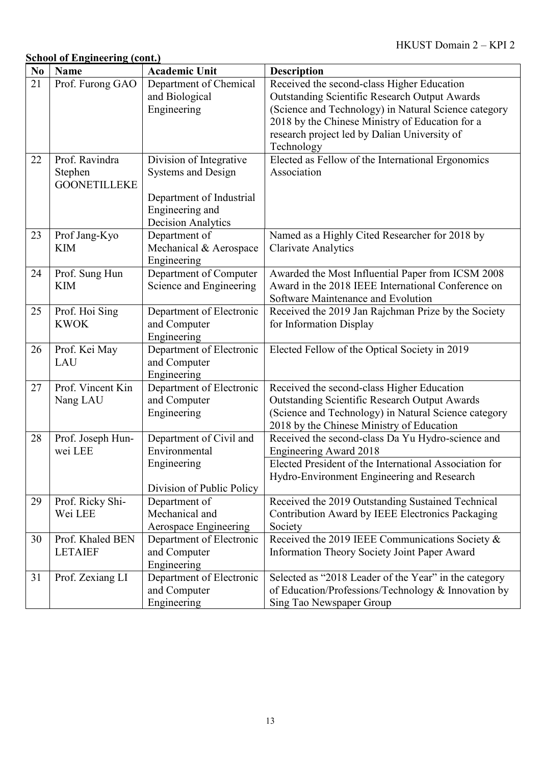| N <sub>0</sub>  | <b>Name</b>         | <b>Academic Unit</b>      | <b>Description</b>                                     |
|-----------------|---------------------|---------------------------|--------------------------------------------------------|
| $\overline{21}$ | Prof. Furong GAO    | Department of Chemical    | Received the second-class Higher Education             |
|                 |                     | and Biological            | <b>Outstanding Scientific Research Output Awards</b>   |
|                 |                     | Engineering               | (Science and Technology) in Natural Science category   |
|                 |                     |                           | 2018 by the Chinese Ministry of Education for a        |
|                 |                     |                           | research project led by Dalian University of           |
|                 |                     |                           | Technology                                             |
| 22              | Prof. Ravindra      | Division of Integrative   | Elected as Fellow of the International Ergonomics      |
|                 | Stephen             | <b>Systems and Design</b> | Association                                            |
|                 | <b>GOONETILLEKE</b> |                           |                                                        |
|                 |                     | Department of Industrial  |                                                        |
|                 |                     | Engineering and           |                                                        |
|                 |                     | <b>Decision Analytics</b> |                                                        |
| 23              | Prof Jang-Kyo       | Department of             | Named as a Highly Cited Researcher for 2018 by         |
|                 | <b>KIM</b>          | Mechanical & Aerospace    | <b>Clarivate Analytics</b>                             |
|                 |                     | Engineering               |                                                        |
| 24              | Prof. Sung Hun      | Department of Computer    | Awarded the Most Influential Paper from ICSM 2008      |
|                 | <b>KIM</b>          | Science and Engineering   | Award in the 2018 IEEE International Conference on     |
|                 |                     |                           | Software Maintenance and Evolution                     |
| 25              | Prof. Hoi Sing      | Department of Electronic  | Received the 2019 Jan Rajchman Prize by the Society    |
|                 | <b>KWOK</b>         | and Computer              | for Information Display                                |
|                 |                     | Engineering               |                                                        |
| 26              | Prof. Kei May       | Department of Electronic  | Elected Fellow of the Optical Society in 2019          |
|                 | LAU                 | and Computer              |                                                        |
|                 |                     | Engineering               |                                                        |
| 27              | Prof. Vincent Kin   | Department of Electronic  | Received the second-class Higher Education             |
|                 | Nang LAU            | and Computer              | <b>Outstanding Scientific Research Output Awards</b>   |
|                 |                     | Engineering               | (Science and Technology) in Natural Science category   |
|                 |                     |                           | 2018 by the Chinese Ministry of Education              |
| 28              | Prof. Joseph Hun-   | Department of Civil and   | Received the second-class Da Yu Hydro-science and      |
|                 | wei LEE             | Environmental             | <b>Engineering Award 2018</b>                          |
|                 |                     | Engineering               | Elected President of the International Association for |
|                 |                     |                           | Hydro-Environment Engineering and Research             |
|                 |                     | Division of Public Policy |                                                        |
| 29              | Prof. Ricky Shi-    | Department of             | Received the 2019 Outstanding Sustained Technical      |
|                 | Wei LEE             | Mechanical and            | Contribution Award by IEEE Electronics Packaging       |
|                 |                     | Aerospace Engineering     | Society                                                |
| 30              | Prof. Khaled BEN    | Department of Electronic  | Received the 2019 IEEE Communications Society &        |
|                 | <b>LETAIEF</b>      | and Computer              | <b>Information Theory Society Joint Paper Award</b>    |
|                 |                     | Engineering               |                                                        |
| 31              | Prof. Zexiang LI    | Department of Electronic  | Selected as "2018 Leader of the Year" in the category  |
|                 |                     | and Computer              | of Education/Professions/Technology & Innovation by    |
|                 |                     | Engineering               | Sing Tao Newspaper Group                               |

<u> 1980 - Johann Barbara, martxa amerikan personal (</u>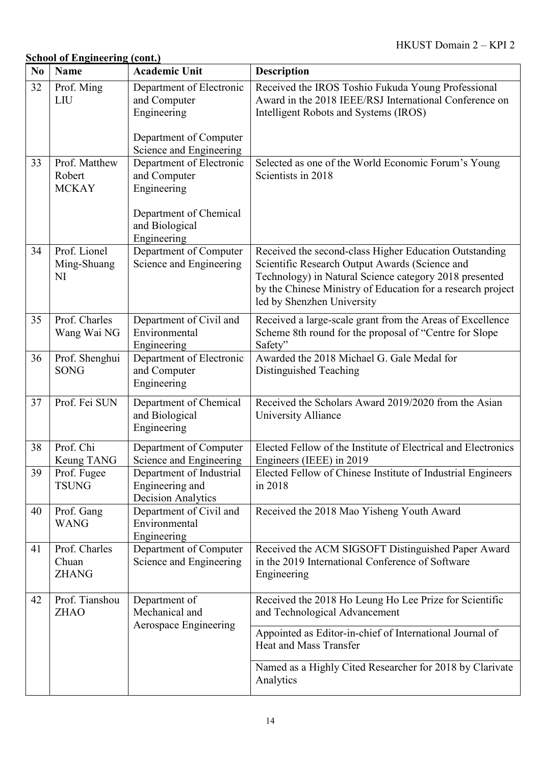|  | <b>School of Engineering (cont.)</b> |  |
|--|--------------------------------------|--|
|  |                                      |  |

| N <sub>0</sub> | <b>Name</b>                             | <b>Academic Unit</b>                                                                                         | <b>Description</b>                                                                                                                                                                                                                                              |
|----------------|-----------------------------------------|--------------------------------------------------------------------------------------------------------------|-----------------------------------------------------------------------------------------------------------------------------------------------------------------------------------------------------------------------------------------------------------------|
| 32             | Prof. Ming<br>LIU                       | Department of Electronic<br>and Computer<br>Engineering                                                      | Received the IROS Toshio Fukuda Young Professional<br>Award in the 2018 IEEE/RSJ International Conference on<br>Intelligent Robots and Systems (IROS)                                                                                                           |
| 33             | Prof. Matthew<br>Robert<br><b>MCKAY</b> | Department of Computer<br>Science and Engineering<br>Department of Electronic<br>and Computer<br>Engineering | Selected as one of the World Economic Forum's Young<br>Scientists in 2018                                                                                                                                                                                       |
|                |                                         | Department of Chemical<br>and Biological<br>Engineering                                                      |                                                                                                                                                                                                                                                                 |
| 34             | Prof. Lionel<br>Ming-Shuang<br>NI       | Department of Computer<br>Science and Engineering                                                            | Received the second-class Higher Education Outstanding<br>Scientific Research Output Awards (Science and<br>Technology) in Natural Science category 2018 presented<br>by the Chinese Ministry of Education for a research project<br>led by Shenzhen University |
| 35             | Prof. Charles<br>Wang Wai NG            | Department of Civil and<br>Environmental<br>Engineering                                                      | Received a large-scale grant from the Areas of Excellence<br>Scheme 8th round for the proposal of "Centre for Slope<br>Safety"                                                                                                                                  |
| 36             | Prof. Shenghui<br><b>SONG</b>           | Department of Electronic<br>and Computer<br>Engineering                                                      | Awarded the 2018 Michael G. Gale Medal for<br>Distinguished Teaching                                                                                                                                                                                            |
| 37             | Prof. Fei SUN                           | Department of Chemical<br>and Biological<br>Engineering                                                      | Received the Scholars Award 2019/2020 from the Asian<br>University Alliance                                                                                                                                                                                     |
| 38             | Prof. Chi<br>Keung TANG                 | Department of Computer<br>Science and Engineering                                                            | Elected Fellow of the Institute of Electrical and Electronics<br>Engineers (IEEE) in 2019                                                                                                                                                                       |
| 39             | Prof. Fugee<br><b>TSUNG</b>             | Department of Industrial<br>Engineering and<br><b>Decision Analytics</b>                                     | Elected Fellow of Chinese Institute of Industrial Engineers<br>in 2018                                                                                                                                                                                          |
| 40             | Prof. Gang<br><b>WANG</b>               | Department of Civil and<br>Environmental<br>Engineering                                                      | Received the 2018 Mao Yisheng Youth Award                                                                                                                                                                                                                       |
| 41             | Prof. Charles<br>Chuan<br><b>ZHANG</b>  | Department of Computer<br>Science and Engineering                                                            | Received the ACM SIGSOFT Distinguished Paper Award<br>in the 2019 International Conference of Software<br>Engineering                                                                                                                                           |
| 42             | Prof. Tianshou<br><b>ZHAO</b>           | Department of<br>Mechanical and<br>Aerospace Engineering                                                     | Received the 2018 Ho Leung Ho Lee Prize for Scientific<br>and Technological Advancement                                                                                                                                                                         |
|                |                                         |                                                                                                              | Appointed as Editor-in-chief of International Journal of<br>Heat and Mass Transfer                                                                                                                                                                              |
|                |                                         |                                                                                                              | Named as a Highly Cited Researcher for 2018 by Clarivate<br>Analytics                                                                                                                                                                                           |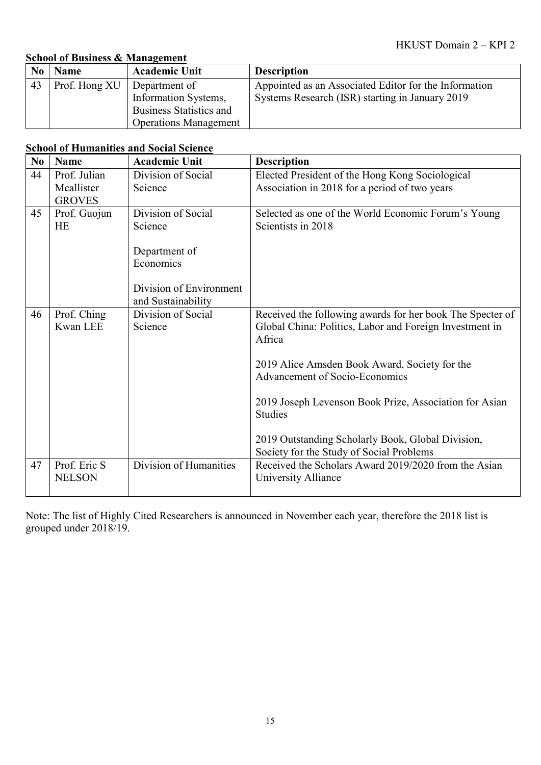### **School of Business & Management**

|    | <b>Name</b>                   | <b>Academic Unit</b>           | <b>Description</b>                                    |
|----|-------------------------------|--------------------------------|-------------------------------------------------------|
| 43 | Prof. Hong XU   Department of |                                | Appointed as an Associated Editor for the Information |
|    |                               | Information Systems,           | Systems Research (ISR) starting in January 2019       |
|    |                               | <b>Business Statistics and</b> |                                                       |
|    |                               | <b>Operations Management</b>   |                                                       |

### **School of Humanities and Social Science**

| N <sub>0</sub> | <b>Name</b>   | <b>Academic Unit</b>    | <b>Description</b>                                                |
|----------------|---------------|-------------------------|-------------------------------------------------------------------|
| 44             | Prof. Julian  | Division of Social      | Elected President of the Hong Kong Sociological                   |
|                | Mcallister    | Science                 | Association in 2018 for a period of two years                     |
|                | <b>GROVES</b> |                         |                                                                   |
| 45             | Prof. Guojun  | Division of Social      | Selected as one of the World Economic Forum's Young               |
|                | <b>HE</b>     | Science                 | Scientists in 2018                                                |
|                |               | Department of           |                                                                   |
|                |               | Economics               |                                                                   |
|                |               | Division of Environment |                                                                   |
|                |               | and Sustainability      |                                                                   |
| 46             | Prof. Ching   | Division of Social      | Received the following awards for her book The Specter of         |
|                | Kwan LEE      | Science                 | Global China: Politics, Labor and Foreign Investment in<br>Africa |
|                |               |                         | 2019 Alice Amsden Book Award, Society for the                     |
|                |               |                         | <b>Advancement of Socio-Economics</b>                             |
|                |               |                         | 2019 Joseph Levenson Book Prize, Association for Asian            |
|                |               |                         | <b>Studies</b>                                                    |
|                |               |                         | 2019 Outstanding Scholarly Book, Global Division,                 |
|                |               |                         | Society for the Study of Social Problems                          |
| 47             | Prof. Eric S  | Division of Humanities  | Received the Scholars Award 2019/2020 from the Asian              |
|                | <b>NELSON</b> |                         | University Alliance                                               |
|                |               |                         |                                                                   |

Note: The list of Highly Cited Researchers is announced in November each year, therefore the 2018 list is grouped under 2018/19.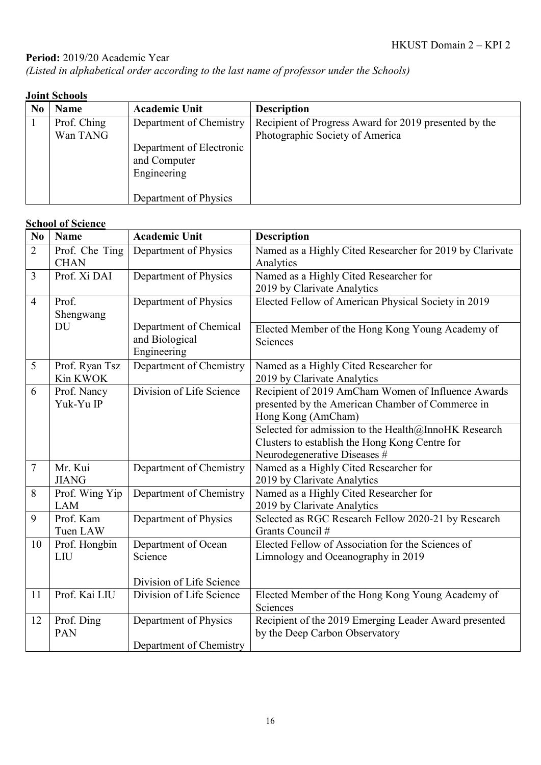# Period: 2019/20 Academic Year

*(Listed in alphabetical order according to the last name of professor under the Schools)*

## **Joint Schools**

| N <sub>0</sub> | <b>Name</b>             | <b>Academic Unit</b>                                                | <b>Description</b>                                                                       |
|----------------|-------------------------|---------------------------------------------------------------------|------------------------------------------------------------------------------------------|
|                | Prof. Ching<br>Wan TANG | Department of Chemistry<br>Department of Electronic<br>and Computer | Recipient of Progress Award for 2019 presented by the<br>Photographic Society of America |
|                |                         | Engineering<br>Department of Physics                                |                                                                                          |

### **School of Science**

| N <sub>0</sub> | <b>Name</b>    | <b>Academic Unit</b>          | <b>Description</b>                                       |
|----------------|----------------|-------------------------------|----------------------------------------------------------|
| $\overline{2}$ | Prof. Che Ting | Department of Physics         | Named as a Highly Cited Researcher for 2019 by Clarivate |
|                | <b>CHAN</b>    |                               | Analytics                                                |
| $\mathfrak{Z}$ | Prof. Xi DAI   | Department of Physics         | Named as a Highly Cited Researcher for                   |
|                |                |                               | 2019 by Clarivate Analytics                              |
| $\overline{4}$ | Prof.          | Department of Physics         | Elected Fellow of American Physical Society in 2019      |
|                | Shengwang      |                               |                                                          |
|                | DU             | Department of Chemical        | Elected Member of the Hong Kong Young Academy of         |
|                |                | and Biological<br>Engineering | Sciences                                                 |
| 5              | Prof. Ryan Tsz | Department of Chemistry       | Named as a Highly Cited Researcher for                   |
|                | Kin KWOK       |                               | 2019 by Clarivate Analytics                              |
| 6              | Prof. Nancy    | Division of Life Science      | Recipient of 2019 AmCham Women of Influence Awards       |
|                | Yuk-Yu IP      |                               | presented by the American Chamber of Commerce in         |
|                |                |                               | Hong Kong (AmCham)                                       |
|                |                |                               | Selected for admission to the Health@InnoHK Research     |
|                |                |                               | Clusters to establish the Hong Kong Centre for           |
|                |                |                               | Neurodegenerative Diseases #                             |
| 7              | Mr. Kui        | Department of Chemistry       | Named as a Highly Cited Researcher for                   |
|                | <b>JIANG</b>   |                               | 2019 by Clarivate Analytics                              |
| 8              | Prof. Wing Yip | Department of Chemistry       | Named as a Highly Cited Researcher for                   |
|                | <b>LAM</b>     |                               | 2019 by Clarivate Analytics                              |
| 9              | Prof. Kam      | Department of Physics         | Selected as RGC Research Fellow 2020-21 by Research      |
|                | Tuen LAW       |                               | Grants Council #                                         |
| 10             | Prof. Hongbin  | Department of Ocean           | Elected Fellow of Association for the Sciences of        |
|                | LIU            | Science                       | Limnology and Oceanography in 2019                       |
|                |                | Division of Life Science      |                                                          |
| 11             | Prof. Kai LIU  | Division of Life Science      | Elected Member of the Hong Kong Young Academy of         |
|                |                |                               | Sciences                                                 |
| 12             | Prof. Ding     | Department of Physics         | Recipient of the 2019 Emerging Leader Award presented    |
|                | PAN            |                               | by the Deep Carbon Observatory                           |
|                |                | Department of Chemistry       |                                                          |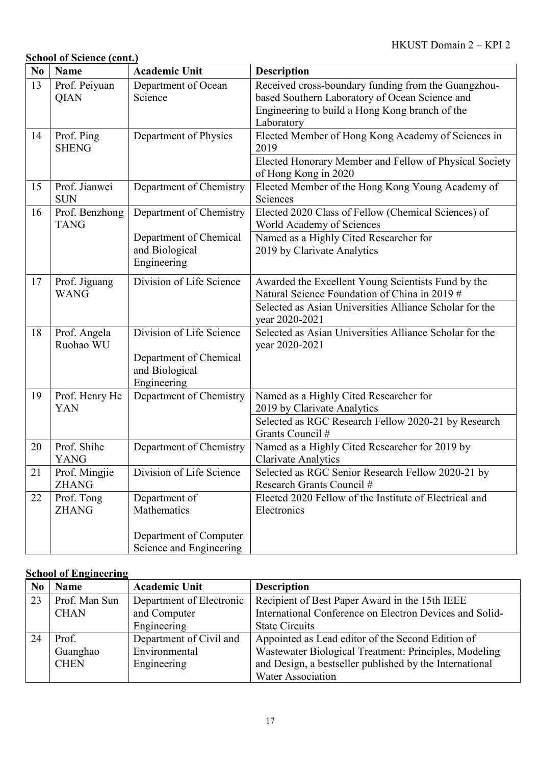# **School of Science (cont.)**

| N <sub>0</sub> | <b>Name</b>                   | <b>Academic Unit</b>                                                                | <b>Description</b>                                                                                                                                                               |
|----------------|-------------------------------|-------------------------------------------------------------------------------------|----------------------------------------------------------------------------------------------------------------------------------------------------------------------------------|
| 13             | Prof. Peiyuan<br><b>QIAN</b>  | Department of Ocean<br>Science                                                      | Received cross-boundary funding from the Guangzhou-<br>based Southern Laboratory of Ocean Science and<br>Engineering to build a Hong Kong branch of the<br>Laboratory            |
| 14             | Prof. Ping<br><b>SHENG</b>    | Department of Physics                                                               | Elected Member of Hong Kong Academy of Sciences in<br>2019<br>Elected Honorary Member and Fellow of Physical Society<br>of Hong Kong in 2020                                     |
| 15             | Prof. Jianwei<br><b>SUN</b>   | Department of Chemistry                                                             | Elected Member of the Hong Kong Young Academy of<br>Sciences                                                                                                                     |
| 16             | Prof. Benzhong<br><b>TANG</b> | Department of Chemistry<br>Department of Chemical<br>and Biological<br>Engineering  | Elected 2020 Class of Fellow (Chemical Sciences) of<br>World Academy of Sciences<br>Named as a Highly Cited Researcher for<br>2019 by Clarivate Analytics                        |
| 17             | Prof. Jiguang<br><b>WANG</b>  | Division of Life Science                                                            | Awarded the Excellent Young Scientists Fund by the<br>Natural Science Foundation of China in 2019 #<br>Selected as Asian Universities Alliance Scholar for the<br>year 2020-2021 |
| 18             | Prof. Angela<br>Ruohao WU     | Division of Life Science<br>Department of Chemical<br>and Biological<br>Engineering | Selected as Asian Universities Alliance Scholar for the<br>year 2020-2021                                                                                                        |
| 19             | Prof. Henry He<br>YAN         | Department of Chemistry                                                             | Named as a Highly Cited Researcher for<br>2019 by Clarivate Analytics<br>Selected as RGC Research Fellow 2020-21 by Research<br>Grants Council #                                 |
| 20             | Prof. Shihe<br><b>YANG</b>    | Department of Chemistry                                                             | Named as a Highly Cited Researcher for 2019 by<br><b>Clarivate Analytics</b>                                                                                                     |
| 21             | Prof. Mingjie<br><b>ZHANG</b> | Division of Life Science                                                            | Selected as RGC Senior Research Fellow 2020-21 by<br>Research Grants Council #                                                                                                   |
| 22             | Prof. Tong<br><b>ZHANG</b>    | Department of<br>Mathematics                                                        | Elected 2020 Fellow of the Institute of Electrical and<br>Electronics                                                                                                            |
|                |                               | Department of Computer<br>Science and Engineering                                   |                                                                                                                                                                                  |

### **School of Engineering**

| N <sub>0</sub> | <b>Name</b>   | <b>Academic Unit</b>     | <b>Description</b>                                      |
|----------------|---------------|--------------------------|---------------------------------------------------------|
| 23             | Prof. Man Sun | Department of Electronic | Recipient of Best Paper Award in the 15th IEEE          |
|                | <b>CHAN</b>   | and Computer             | International Conference on Electron Devices and Solid- |
|                |               | Engineering              | <b>State Circuits</b>                                   |
| 24             | Prof.         | Department of Civil and  | Appointed as Lead editor of the Second Edition of       |
|                | Guanghao      | Environmental            | Wastewater Biological Treatment: Principles, Modeling   |
|                | <b>CHEN</b>   | Engineering              | and Design, a bestseller published by the International |
|                |               |                          | <b>Water Association</b>                                |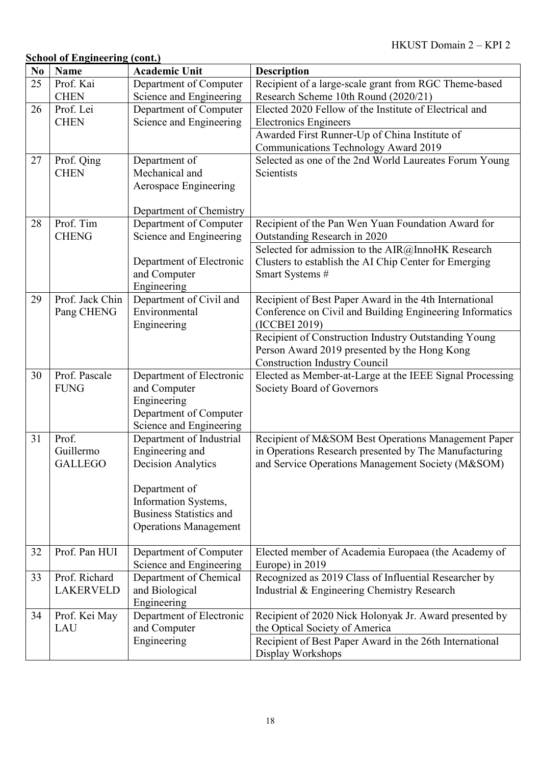| N <sub>0</sub> | <b>Name</b>      | <b>Academic Unit</b>                                   | <b>Description</b>                                                                                                 |
|----------------|------------------|--------------------------------------------------------|--------------------------------------------------------------------------------------------------------------------|
| 25             | Prof. Kai        | Department of Computer                                 | Recipient of a large-scale grant from RGC Theme-based                                                              |
|                | <b>CHEN</b>      | Science and Engineering                                | Research Scheme 10th Round (2020/21)                                                                               |
| 26             | Prof. Lei        | Department of Computer                                 | Elected 2020 Fellow of the Institute of Electrical and                                                             |
|                | <b>CHEN</b>      | Science and Engineering                                | <b>Electronics Engineers</b>                                                                                       |
|                |                  |                                                        | Awarded First Runner-Up of China Institute of                                                                      |
|                |                  |                                                        | Communications Technology Award 2019                                                                               |
| 27             | Prof. Qing       | Department of                                          | Selected as one of the 2nd World Laureates Forum Young                                                             |
|                | <b>CHEN</b>      | Mechanical and                                         | Scientists                                                                                                         |
|                |                  | Aerospace Engineering                                  |                                                                                                                    |
|                |                  | Department of Chemistry                                |                                                                                                                    |
| 28             | Prof. Tim        | Department of Computer                                 | Recipient of the Pan Wen Yuan Foundation Award for                                                                 |
|                | <b>CHENG</b>     | Science and Engineering                                | Outstanding Research in 2020                                                                                       |
|                |                  |                                                        | Selected for admission to the AIR@InnoHK Research                                                                  |
|                |                  | Department of Electronic                               | Clusters to establish the AI Chip Center for Emerging                                                              |
|                |                  | and Computer                                           | Smart Systems #                                                                                                    |
| 29             | Prof. Jack Chin  | Engineering                                            |                                                                                                                    |
|                | Pang CHENG       | Department of Civil and<br>Environmental               | Recipient of Best Paper Award in the 4th International<br>Conference on Civil and Building Engineering Informatics |
|                |                  | Engineering                                            | (ICCBEI 2019)                                                                                                      |
|                |                  |                                                        | Recipient of Construction Industry Outstanding Young                                                               |
|                |                  |                                                        | Person Award 2019 presented by the Hong Kong                                                                       |
|                |                  |                                                        | <b>Construction Industry Council</b>                                                                               |
| 30             | Prof. Pascale    | Department of Electronic                               | Elected as Member-at-Large at the IEEE Signal Processing                                                           |
|                | <b>FUNG</b>      | and Computer                                           | Society Board of Governors                                                                                         |
|                |                  | Engineering                                            |                                                                                                                    |
|                |                  | Department of Computer                                 |                                                                                                                    |
|                |                  | Science and Engineering                                |                                                                                                                    |
| 31             | Prof.            | Department of Industrial                               | Recipient of M&SOM Best Operations Management Paper                                                                |
|                | Guillermo        | Engineering and                                        | in Operations Research presented by The Manufacturing                                                              |
|                | <b>GALLEGO</b>   | <b>Decision Analytics</b>                              | and Service Operations Management Society (M&SOM)                                                                  |
|                |                  |                                                        |                                                                                                                    |
|                |                  | Department of                                          |                                                                                                                    |
|                |                  | Information Systems,<br><b>Business Statistics and</b> |                                                                                                                    |
|                |                  | <b>Operations Management</b>                           |                                                                                                                    |
|                |                  |                                                        |                                                                                                                    |
| 32             | Prof. Pan HUI    | Department of Computer                                 | Elected member of Academia Europaea (the Academy of                                                                |
|                |                  | Science and Engineering                                | Europe) in 2019                                                                                                    |
| 33             | Prof. Richard    | Department of Chemical                                 | Recognized as 2019 Class of Influential Researcher by                                                              |
|                | <b>LAKERVELD</b> | and Biological                                         | Industrial & Engineering Chemistry Research                                                                        |
|                |                  | Engineering                                            |                                                                                                                    |
| 34             | Prof. Kei May    | Department of Electronic                               | Recipient of 2020 Nick Holonyak Jr. Award presented by                                                             |
|                | LAU              | and Computer                                           | the Optical Society of America                                                                                     |
|                |                  | Engineering                                            | Recipient of Best Paper Award in the 26th International                                                            |
|                |                  |                                                        | Display Workshops                                                                                                  |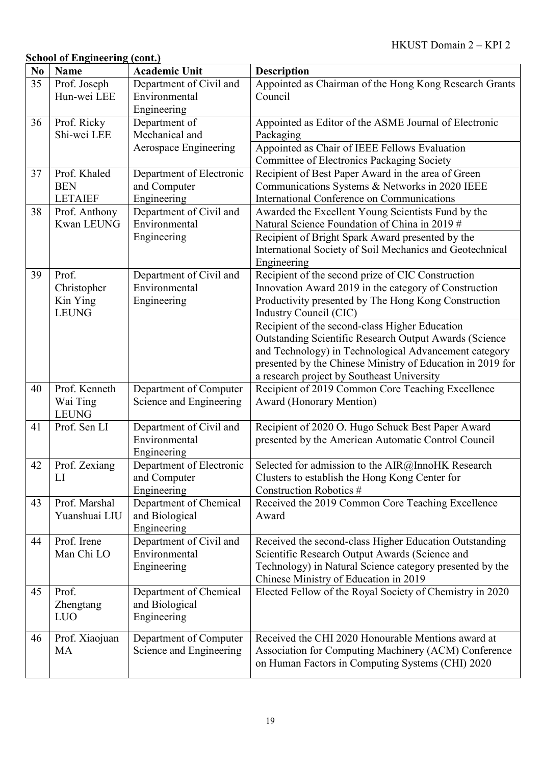| N <sub>0</sub> | <b>Name</b>                                      | <b>Academic Unit</b>                                    | <b>Description</b>                                                                                                                                                                                                                                                                   |
|----------------|--------------------------------------------------|---------------------------------------------------------|--------------------------------------------------------------------------------------------------------------------------------------------------------------------------------------------------------------------------------------------------------------------------------------|
| 35             | Prof. Joseph<br>Hun-wei LEE                      | Department of Civil and<br>Environmental                | Appointed as Chairman of the Hong Kong Research Grants<br>Council                                                                                                                                                                                                                    |
| 36             | Prof. Ricky<br>Shi-wei LEE                       | Engineering<br>Department of<br>Mechanical and          | Appointed as Editor of the ASME Journal of Electronic<br>Packaging                                                                                                                                                                                                                   |
|                |                                                  | Aerospace Engineering                                   | Appointed as Chair of IEEE Fellows Evaluation<br>Committee of Electronics Packaging Society                                                                                                                                                                                          |
| 37             | Prof. Khaled<br><b>BEN</b><br><b>LETAIEF</b>     | Department of Electronic<br>and Computer<br>Engineering | Recipient of Best Paper Award in the area of Green<br>Communications Systems & Networks in 2020 IEEE<br>International Conference on Communications                                                                                                                                   |
| 38             | Prof. Anthony<br><b>Kwan LEUNG</b>               | Department of Civil and<br>Environmental                | Awarded the Excellent Young Scientists Fund by the<br>Natural Science Foundation of China in 2019 #                                                                                                                                                                                  |
|                |                                                  | Engineering                                             | Recipient of Bright Spark Award presented by the<br>International Society of Soil Mechanics and Geotechnical<br>Engineering                                                                                                                                                          |
| 39             | Prof.<br>Christopher<br>Kin Ying<br><b>LEUNG</b> | Department of Civil and<br>Environmental<br>Engineering | Recipient of the second prize of CIC Construction<br>Innovation Award 2019 in the category of Construction<br>Productivity presented by The Hong Kong Construction<br>Industry Council (CIC)                                                                                         |
|                |                                                  |                                                         | Recipient of the second-class Higher Education<br><b>Outstanding Scientific Research Output Awards (Science</b><br>and Technology) in Technological Advancement category<br>presented by the Chinese Ministry of Education in 2019 for<br>a research project by Southeast University |
| 40             | Prof. Kenneth<br>Wai Ting<br><b>LEUNG</b>        | Department of Computer<br>Science and Engineering       | Recipient of 2019 Common Core Teaching Excellence<br><b>Award (Honorary Mention)</b>                                                                                                                                                                                                 |
| 41             | Prof. Sen LI                                     | Department of Civil and<br>Environmental<br>Engineering | Recipient of 2020 O. Hugo Schuck Best Paper Award<br>presented by the American Automatic Control Council                                                                                                                                                                             |
| 42             | Prof. Zexiang<br>$_{\rm LI}$                     | Department of Electronic<br>and Computer<br>Engineering | Selected for admission to the AIR@InnoHK Research<br>Clusters to establish the Hong Kong Center for<br>Construction Robotics #                                                                                                                                                       |
| 43             | Prof. Marshal<br>Yuanshuai LIU                   | Department of Chemical<br>and Biological<br>Engineering | Received the 2019 Common Core Teaching Excellence<br>Award                                                                                                                                                                                                                           |
| 44             | Prof. Irene<br>Man Chi LO                        | Department of Civil and<br>Environmental<br>Engineering | Received the second-class Higher Education Outstanding<br>Scientific Research Output Awards (Science and<br>Technology) in Natural Science category presented by the<br>Chinese Ministry of Education in 2019                                                                        |
| 45             | Prof.<br>Zhengtang<br>LUO                        | Department of Chemical<br>and Biological<br>Engineering | Elected Fellow of the Royal Society of Chemistry in 2020                                                                                                                                                                                                                             |
| 46             | Prof. Xiaojuan<br>MA                             | Department of Computer<br>Science and Engineering       | Received the CHI 2020 Honourable Mentions award at<br>Association for Computing Machinery (ACM) Conference<br>on Human Factors in Computing Systems (CHI) 2020                                                                                                                       |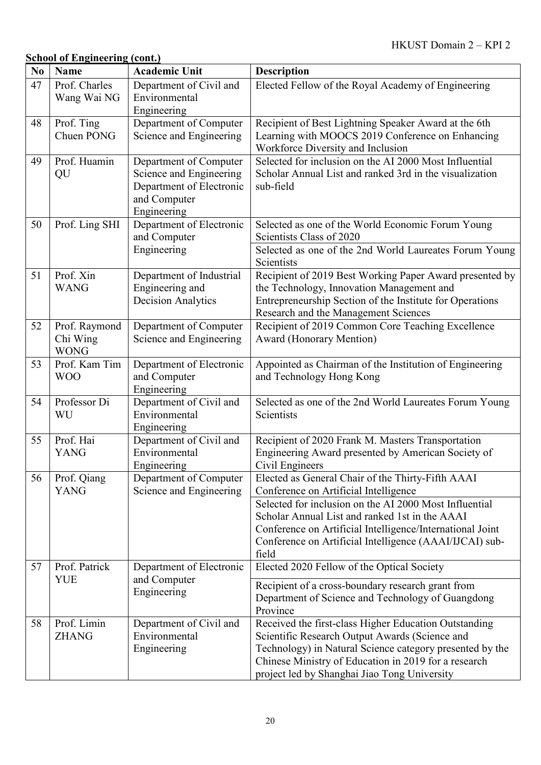| N <sub>0</sub> | <b>Name</b>                              | <b>Academic Unit</b>                                                                                         | <b>Description</b>                                                                                                                                                                                                                                                          |
|----------------|------------------------------------------|--------------------------------------------------------------------------------------------------------------|-----------------------------------------------------------------------------------------------------------------------------------------------------------------------------------------------------------------------------------------------------------------------------|
| 47             | Prof. Charles<br>Wang Wai NG             | Department of Civil and<br>Environmental<br>Engineering                                                      | Elected Fellow of the Royal Academy of Engineering                                                                                                                                                                                                                          |
| 48             | Prof. Ting<br>Chuen PONG                 | Department of Computer<br>Science and Engineering                                                            | Recipient of Best Lightning Speaker Award at the 6th<br>Learning with MOOCS 2019 Conference on Enhancing<br>Workforce Diversity and Inclusion                                                                                                                               |
| 49             | Prof. Huamin<br>QU                       | Department of Computer<br>Science and Engineering<br>Department of Electronic<br>and Computer<br>Engineering | Selected for inclusion on the AI 2000 Most Influential<br>Scholar Annual List and ranked 3rd in the visualization<br>sub-field                                                                                                                                              |
| 50             | Prof. Ling SHI                           | Department of Electronic<br>and Computer<br>Engineering                                                      | Selected as one of the World Economic Forum Young<br>Scientists Class of 2020<br>Selected as one of the 2nd World Laureates Forum Young<br>Scientists                                                                                                                       |
| 51             | Prof. Xin<br><b>WANG</b>                 | Department of Industrial<br>Engineering and<br><b>Decision Analytics</b>                                     | Recipient of 2019 Best Working Paper Award presented by<br>the Technology, Innovation Management and<br>Entrepreneurship Section of the Institute for Operations<br>Research and the Management Sciences                                                                    |
| 52             | Prof. Raymond<br>Chi Wing<br><b>WONG</b> | Department of Computer<br>Science and Engineering                                                            | Recipient of 2019 Common Core Teaching Excellence<br><b>Award (Honorary Mention)</b>                                                                                                                                                                                        |
| 53             | Prof. Kam Tim<br><b>WOO</b>              | Department of Electronic<br>and Computer<br>Engineering                                                      | Appointed as Chairman of the Institution of Engineering<br>and Technology Hong Kong                                                                                                                                                                                         |
| 54             | Professor Di<br>WU                       | Department of Civil and<br>Environmental<br>Engineering                                                      | Selected as one of the 2nd World Laureates Forum Young<br>Scientists                                                                                                                                                                                                        |
| 55             | Prof. Hai<br><b>YANG</b>                 | Department of Civil and<br>Environmental<br>Engineering                                                      | Recipient of 2020 Frank M. Masters Transportation<br>Engineering Award presented by American Society of<br>Civil Engineers                                                                                                                                                  |
| 56             | Prof. Qiang<br><b>YANG</b>               | Department of Computer<br>Science and Engineering                                                            | Elected as General Chair of the Thirty-Fifth AAAI<br>Conference on Artificial Intelligence                                                                                                                                                                                  |
|                |                                          |                                                                                                              | Selected for inclusion on the AI 2000 Most Influential<br>Scholar Annual List and ranked 1st in the AAAI<br>Conference on Artificial Intelligence/International Joint<br>Conference on Artificial Intelligence (AAAI/IJCAI) sub-<br>field                                   |
| 57             | Prof. Patrick                            | Department of Electronic                                                                                     | Elected 2020 Fellow of the Optical Society                                                                                                                                                                                                                                  |
|                | <b>YUE</b>                               | and Computer<br>Engineering                                                                                  | Recipient of a cross-boundary research grant from<br>Department of Science and Technology of Guangdong<br>Province                                                                                                                                                          |
| 58             | Prof. Limin<br><b>ZHANG</b>              | Department of Civil and<br>Environmental<br>Engineering                                                      | Received the first-class Higher Education Outstanding<br>Scientific Research Output Awards (Science and<br>Technology) in Natural Science category presented by the<br>Chinese Ministry of Education in 2019 for a research<br>project led by Shanghai Jiao Tong University |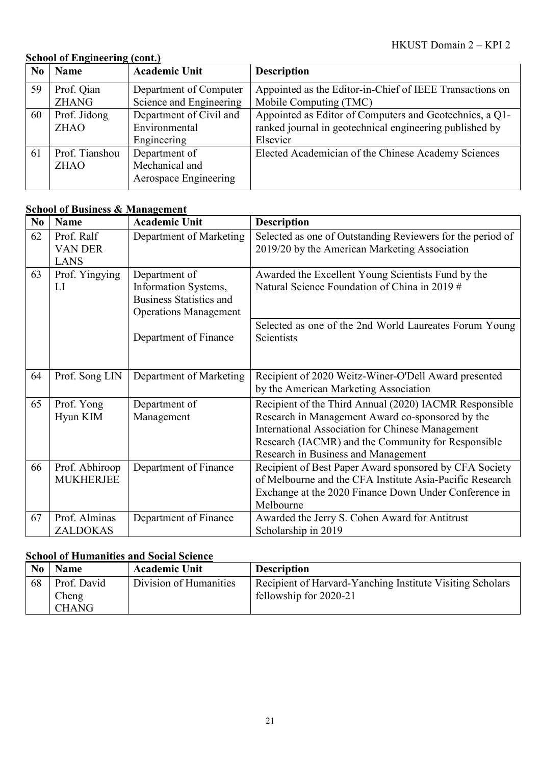| N <sub>0</sub> | <b>Name</b>    | <b>Academic Unit</b>    | <b>Description</b>                                       |
|----------------|----------------|-------------------------|----------------------------------------------------------|
| 59             | Prof. Qian     | Department of Computer  | Appointed as the Editor-in-Chief of IEEE Transactions on |
|                | <b>ZHANG</b>   | Science and Engineering | Mobile Computing (TMC)                                   |
| 60             | Prof. Jidong   | Department of Civil and | Appointed as Editor of Computers and Geotechnics, a Q1-  |
|                | <b>ZHAO</b>    | Environmental           | ranked journal in geotechnical engineering published by  |
|                |                | Engineering             | Elsevier                                                 |
| 61             | Prof. Tianshou | Department of           | Elected Academician of the Chinese Academy Sciences      |
|                | <b>ZHAO</b>    | Mechanical and          |                                                          |
|                |                | Aerospace Engineering   |                                                          |

### **School of Business & Management**

| N <sub>0</sub> | <b>Name</b>                                 | <b>Academic Unit</b>                                                                                    | <b>Description</b>                                                                                                                                                                                                                                          |
|----------------|---------------------------------------------|---------------------------------------------------------------------------------------------------------|-------------------------------------------------------------------------------------------------------------------------------------------------------------------------------------------------------------------------------------------------------------|
| 62             | Prof. Ralf<br><b>VAN DER</b><br><b>LANS</b> | Department of Marketing                                                                                 | Selected as one of Outstanding Reviewers for the period of<br>2019/20 by the American Marketing Association                                                                                                                                                 |
| 63             | Prof. Yingying<br>LI                        | Department of<br>Information Systems,<br><b>Business Statistics and</b><br><b>Operations Management</b> | Awarded the Excellent Young Scientists Fund by the<br>Natural Science Foundation of China in 2019 #                                                                                                                                                         |
|                |                                             | Department of Finance                                                                                   | Selected as one of the 2nd World Laureates Forum Young<br>Scientists                                                                                                                                                                                        |
| 64             | Prof. Song LIN                              | Department of Marketing                                                                                 | Recipient of 2020 Weitz-Winer-O'Dell Award presented<br>by the American Marketing Association                                                                                                                                                               |
| 65             | Prof. Yong<br>Hyun KIM                      | Department of<br>Management                                                                             | Recipient of the Third Annual (2020) IACMR Responsible<br>Research in Management Award co-sponsored by the<br>International Association for Chinese Management<br>Research (IACMR) and the Community for Responsible<br>Research in Business and Management |
| 66             | Prof. Abhiroop<br><b>MUKHERJEE</b>          | Department of Finance                                                                                   | Recipient of Best Paper Award sponsored by CFA Society<br>of Melbourne and the CFA Institute Asia-Pacific Research<br>Exchange at the 2020 Finance Down Under Conference in<br>Melbourne                                                                    |
| 67             | Prof. Alminas<br><b>ZALDOKAS</b>            | Department of Finance                                                                                   | Awarded the Jerry S. Cohen Award for Antitrust<br>Scholarship in 2019                                                                                                                                                                                       |

## **School of Humanities and Social Science**

| $\bf No$ | <b>Name</b>  | <b>Academic Unit</b>   | <b>Description</b>                                        |
|----------|--------------|------------------------|-----------------------------------------------------------|
| 68       | Prof. David  | Division of Humanities | Recipient of Harvard-Yanching Institute Visiting Scholars |
|          | Cheng        |                        | fellowship for 2020-21                                    |
|          | <b>CHANG</b> |                        |                                                           |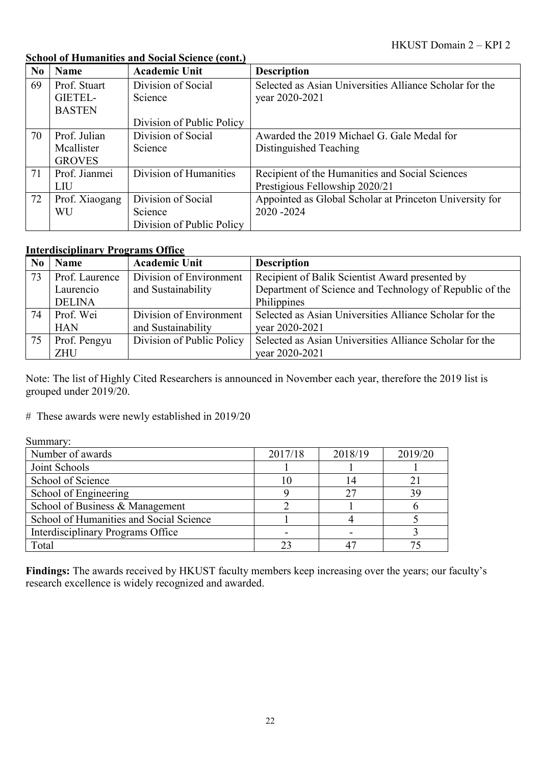| N <sub>0</sub> | <b>Name</b>    | <b>Academic Unit</b>      | <b>Description</b>                                      |
|----------------|----------------|---------------------------|---------------------------------------------------------|
| 69             | Prof. Stuart   | Division of Social        | Selected as Asian Universities Alliance Scholar for the |
|                | GIETEL-        | Science                   | year 2020-2021                                          |
|                | <b>BASTEN</b>  |                           |                                                         |
|                |                | Division of Public Policy |                                                         |
| 70             | Prof. Julian   | Division of Social        | Awarded the 2019 Michael G. Gale Medal for              |
|                | Mcallister     | Science                   | Distinguished Teaching                                  |
|                | <b>GROVES</b>  |                           |                                                         |
| 71             | Prof. Jianmei  | Division of Humanities    | Recipient of the Humanities and Social Sciences         |
|                | LIU            |                           | Prestigious Fellowship 2020/21                          |
| 72             | Prof. Xiaogang | Division of Social        | Appointed as Global Scholar at Princeton University for |
|                | WU             | Science                   | 2020-2024                                               |
|                |                | Division of Public Policy |                                                         |

### **School of Humanities and Social Science (cont.)**

### **Interdisciplinary Programs Office**

| N <sub>0</sub> | <b>Name</b>    | <b>Academic Unit</b>      | <b>Description</b>                                      |
|----------------|----------------|---------------------------|---------------------------------------------------------|
| 73             | Prof. Laurence | Division of Environment   | Recipient of Balik Scientist Award presented by         |
|                | Laurencio      | and Sustainability        | Department of Science and Technology of Republic of the |
|                | <b>DELINA</b>  |                           | Philippines                                             |
| 74             | Prof. Wei      | Division of Environment   | Selected as Asian Universities Alliance Scholar for the |
|                | <b>HAN</b>     | and Sustainability        | vear 2020-2021                                          |
| 75             | Prof. Pengyu   | Division of Public Policy | Selected as Asian Universities Alliance Scholar for the |
|                | <b>ZHU</b>     |                           | vear 2020-2021                                          |

Note: The list of Highly Cited Researchers is announced in November each year, therefore the 2019 list is grouped under 2019/20.

# These awards were newly established in 2019/20

Summary:

| Number of awards                        | 2017/18 | 2018/19 | 2019/20 |
|-----------------------------------------|---------|---------|---------|
| Joint Schools                           |         |         |         |
| School of Science                       |         |         |         |
| School of Engineering                   |         |         |         |
| School of Business & Management         |         |         |         |
| School of Humanities and Social Science |         |         |         |
| Interdisciplinary Programs Office       |         |         |         |
| Total                                   |         |         |         |

**Findings:** The awards received by HKUST faculty members keep increasing over the years; our faculty's research excellence is widely recognized and awarded.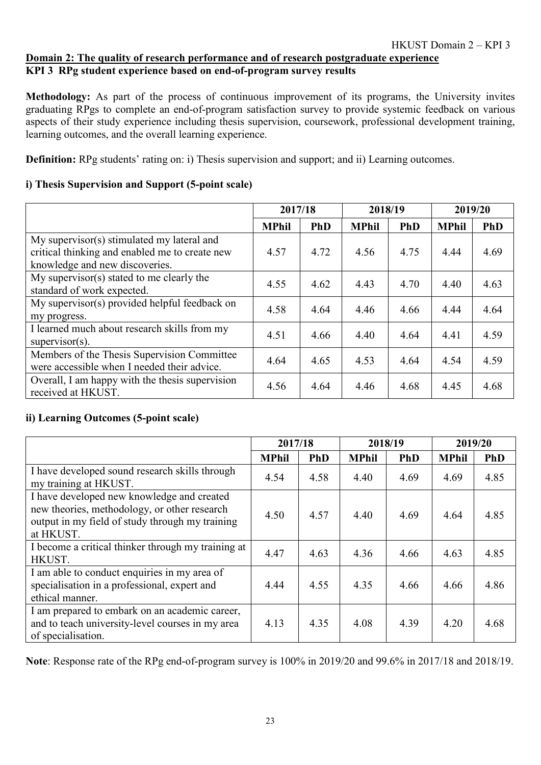### **Domain 2: The quality of research performance and of research postgraduate experience KPI 3 RPg student experience based on end-of-program survey results**

**Methodology:** As part of the process of continuous improvement of its programs, the University invites graduating RPgs to complete an end-of-program satisfaction survey to provide systemic feedback on various aspects of their study experience including thesis supervision, coursework, professional development training, learning outcomes, and the overall learning experience.

**Definition:** RPg students' rating on: i) Thesis supervision and support; and ii) Learning outcomes.

### **i) Thesis Supervision and Support (5-point scale)**

|                                                                                                                                |              | 2017/18    |              | 2018/19    | 2019/20      |            |
|--------------------------------------------------------------------------------------------------------------------------------|--------------|------------|--------------|------------|--------------|------------|
|                                                                                                                                | <b>MPhil</b> | <b>PhD</b> | <b>MPhil</b> | <b>PhD</b> | <b>MPhil</b> | <b>PhD</b> |
| My supervisor(s) stimulated my lateral and<br>critical thinking and enabled me to create new<br>knowledge and new discoveries. | 4.57         | 4.72       | 4.56         | 4.75       | 4.44         | 4.69       |
| My supervisor(s) stated to me clearly the<br>standard of work expected.                                                        | 4.55         | 4.62       | 4.43         | 4.70       | 4.40         | 4.63       |
| My supervisor(s) provided helpful feedback on<br>my progress.                                                                  | 4.58         | 4.64       | 4.46         | 4.66       | 4.44         | 4.64       |
| I learned much about research skills from my<br>$supervisor(s)$ .                                                              | 4.51         | 4.66       | 4.40         | 4.64       | 4.41         | 4.59       |
| Members of the Thesis Supervision Committee<br>were accessible when I needed their advice.                                     | 4.64         | 4.65       | 4.53         | 4.64       | 4.54         | 4.59       |
| Overall, I am happy with the thesis supervision<br>received at HKUST.                                                          | 4.56         | 4.64       | 4.46         | 4.68       | 4.45         | 4.68       |

### **ii) Learning Outcomes (5-point scale)**

|                                                                                                                                                            |              | 2017/18    |              | 2018/19    | 2019/20      |            |
|------------------------------------------------------------------------------------------------------------------------------------------------------------|--------------|------------|--------------|------------|--------------|------------|
|                                                                                                                                                            | <b>MPhil</b> | <b>PhD</b> | <b>MPhil</b> | <b>PhD</b> | <b>MPhil</b> | <b>PhD</b> |
| I have developed sound research skills through<br>my training at HKUST.                                                                                    | 4.54         | 4.58       | 4.40         | 4.69       | 4.69         | 4.85       |
| I have developed new knowledge and created<br>new theories, methodology, or other research<br>output in my field of study through my training<br>at HKUST. | 4.50         | 4.57       | 4.40         | 4.69       | 4.64         | 4.85       |
| I become a critical thinker through my training at<br>HKUST.                                                                                               | 4.47         | 4.63       | 4.36         | 4.66       | 4.63         | 4.85       |
| I am able to conduct enquiries in my area of<br>specialisation in a professional, expert and<br>ethical manner.                                            | 4.44         | 4.55       | 4.35         | 4.66       | 4.66         | 4.86       |
| I am prepared to embark on an academic career,<br>and to teach university-level courses in my area<br>of specialisation.                                   | 4.13         | 4.35       | 4.08         | 4.39       | 4.20         | 4.68       |

**Note**: Response rate of the RPg end-of-program survey is 100% in 2019/20 and 99.6% in 2017/18 and 2018/19.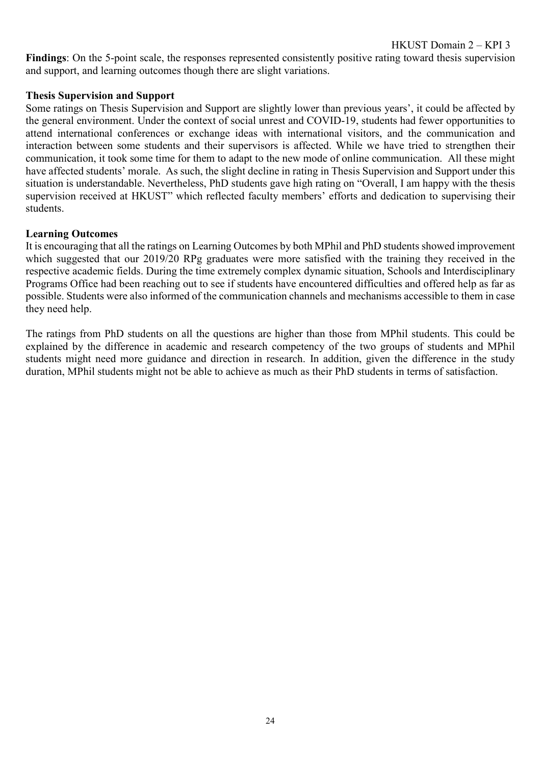**Findings**: On the 5-point scale, the responses represented consistently positive rating toward thesis supervision and support, and learning outcomes though there are slight variations.

#### **Thesis Supervision and Support**

Some ratings on Thesis Supervision and Support are slightly lower than previous years', it could be affected by the general environment. Under the context of social unrest and COVID-19, students had fewer opportunities to attend international conferences or exchange ideas with international visitors, and the communication and interaction between some students and their supervisors is affected. While we have tried to strengthen their communication, it took some time for them to adapt to the new mode of online communication. All these might have affected students' morale. As such, the slight decline in rating in Thesis Supervision and Support under this situation is understandable. Nevertheless, PhD students gave high rating on "Overall, I am happy with the thesis supervision received at HKUST" which reflected faculty members' efforts and dedication to supervising their students.

#### **Learning Outcomes**

It is encouraging that all the ratings on Learning Outcomes by both MPhil and PhD students showed improvement which suggested that our 2019/20 RPg graduates were more satisfied with the training they received in the respective academic fields. During the time extremely complex dynamic situation, Schools and Interdisciplinary Programs Office had been reaching out to see if students have encountered difficulties and offered help as far as possible. Students were also informed of the communication channels and mechanisms accessible to them in case they need help.

The ratings from PhD students on all the questions are higher than those from MPhil students. This could be explained by the difference in academic and research competency of the two groups of students and MPhil students might need more guidance and direction in research. In addition, given the difference in the study duration, MPhil students might not be able to achieve as much as their PhD students in terms of satisfaction.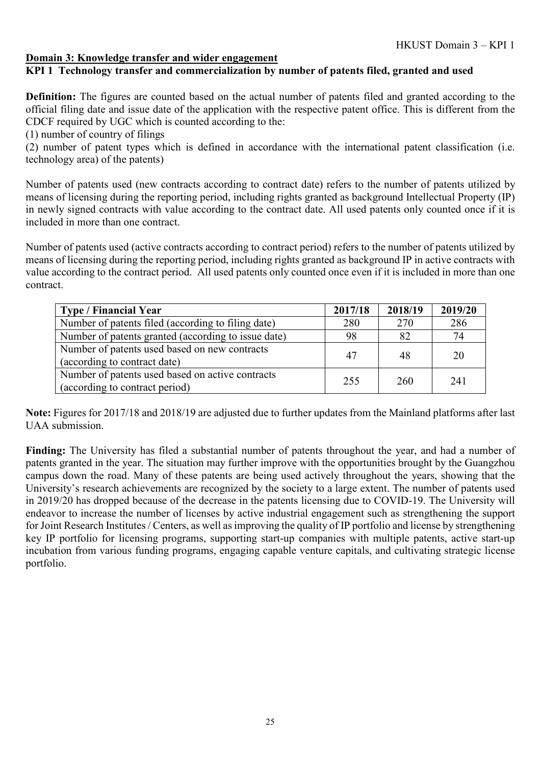### **KPI 1 Technology transfer and commercialization by number of patents filed, granted and used**

**Definition:** The figures are counted based on the actual number of patents filed and granted according to the official filing date and issue date of the application with the respective patent office. This is different from the CDCF required by UGC which is counted according to the:

(1) number of country of filings

(2) number of patent types which is defined in accordance with the international patent classification (i.e. technology area) of the patents)

Number of patents used (new contracts according to contract date) refers to the number of patents utilized by means of licensing during the reporting period, including rights granted as background Intellectual Property (IP) in newly signed contracts with value according to the contract date. All used patents only counted once if it is included in more than one contract.

Number of patents used (active contracts according to contract period) refers to the number of patents utilized by means of licensing during the reporting period, including rights granted as background IP in active contracts with value according to the contract period. All used patents only counted once even if it is included in more than one contract.

| <b>Type / Financial Year</b>                        | 2017/18 | 2018/19 | 2019/20 |  |
|-----------------------------------------------------|---------|---------|---------|--|
| Number of patents filed (according to filing date)  | 280     | 270     | 286     |  |
| Number of patents granted (according to issue date) | 98      | 82      | 74      |  |
| Number of patents used based on new contracts       | 47      | 48      | 20      |  |
| (according to contract date)                        |         |         |         |  |
| Number of patents used based on active contracts    | 255     | 260     | 241     |  |
| (according to contract period)                      |         |         |         |  |

**Note:** Figures for 2017/18 and 2018/19 are adjusted due to further updates from the Mainland platforms after last UAA submission.

**Finding:** The University has filed a substantial number of patents throughout the year, and had a number of patents granted in the year. The situation may further improve with the opportunities brought by the Guangzhou campus down the road. Many of these patents are being used actively throughout the years, showing that the University's research achievements are recognized by the society to a large extent. The number of patents used in 2019/20 has dropped because of the decrease in the patents licensing due to COVID-19. The University will endeavor to increase the number of licenses by active industrial engagement such as strengthening the support for Joint Research Institutes / Centers, as well as improving the quality of IP portfolio and license by strengthening key IP portfolio for licensing programs, supporting start-up companies with multiple patents, active start-up incubation from various funding programs, engaging capable venture capitals, and cultivating strategic license portfolio.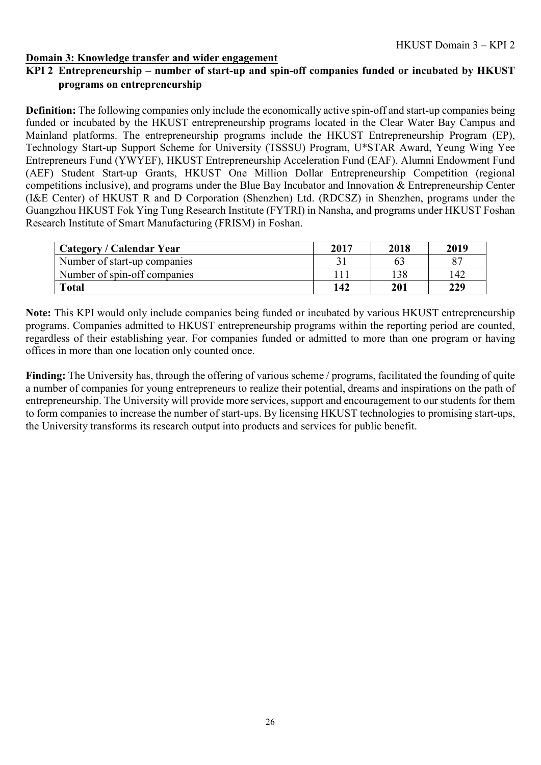### **KPI 2 Entrepreneurship – number of start-up and spin-off companies funded or incubated by HKUST programs on entrepreneurship**

**Definition:** The following companies only include the economically active spin-off and start-up companies being funded or incubated by the HKUST entrepreneurship programs located in the Clear Water Bay Campus and Mainland platforms. The entrepreneurship programs include the HKUST Entrepreneurship Program (EP), Technology Start-up Support Scheme for University (TSSSU) Program, U\*STAR Award, Yeung Wing Yee Entrepreneurs Fund (YWYEF), HKUST Entrepreneurship Acceleration Fund (EAF), Alumni Endowment Fund (AEF) Student Start-up Grants, HKUST One Million Dollar Entrepreneurship Competition (regional competitions inclusive), and programs under the Blue Bay Incubator and Innovation & Entrepreneurship Center (I&E Center) of HKUST R and D Corporation (Shenzhen) Ltd. (RDCSZ) in Shenzhen, programs under the Guangzhou HKUST Fok Ying Tung Research Institute (FYTRI) in Nansha, and programs under HKUST Foshan Research Institute of Smart Manufacturing (FRISM) in Foshan.

| <b>Category / Calendar Year</b> | 2017 | 2018 | 2019 |
|---------------------------------|------|------|------|
| Number of start-up companies    |      | 63   | 87   |
| Number of spin-off companies    | l 11 | 138  | 142  |
| <b>Total</b>                    | 142  | 201  | 229  |

**Note:** This KPI would only include companies being funded or incubated by various HKUST entrepreneurship programs. Companies admitted to HKUST entrepreneurship programs within the reporting period are counted, regardless of their establishing year. For companies funded or admitted to more than one program or having offices in more than one location only counted once.

**Finding:** The University has, through the offering of various scheme / programs, facilitated the founding of quite a number of companies for young entrepreneurs to realize their potential, dreams and inspirations on the path of entrepreneurship. The University will provide more services, support and encouragement to our students for them to form companies to increase the number of start-ups. By licensing HKUST technologies to promising start-ups, the University transforms its research output into products and services for public benefit.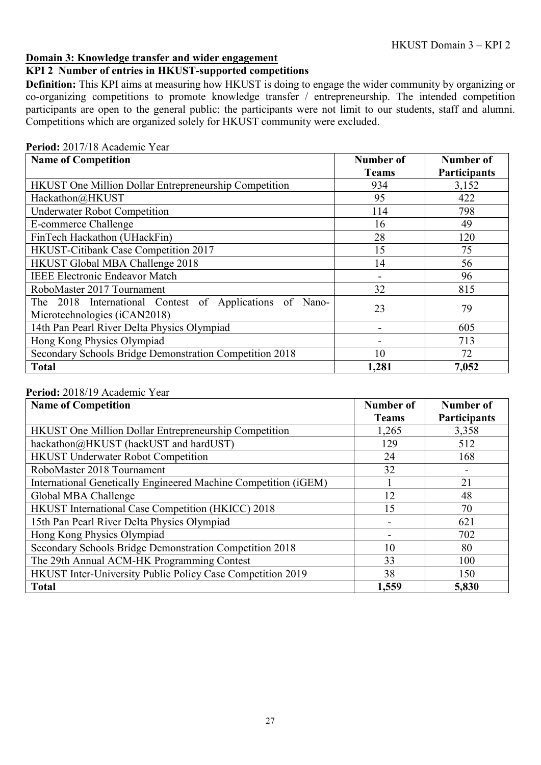### **KPI 2 Number of entries in HKUST-supported competitions**

**Definition:** This KPI aims at measuring how HKUST is doing to engage the wider community by organizing or co-organizing competitions to promote knowledge transfer / entrepreneurship. The intended competition participants are open to the general public; the participants were not limit to our students, staff and alumni. Competitions which are organized solely for HKUST community were excluded.

| <b>Name of Competition</b>                                                              | Number of                | Number of           |  |  |  |
|-----------------------------------------------------------------------------------------|--------------------------|---------------------|--|--|--|
|                                                                                         | <b>Teams</b>             | <b>Participants</b> |  |  |  |
| <b>HKUST</b> One Million Dollar Entrepreneurship Competition                            | 934                      | 3,152               |  |  |  |
| Hackathon@HKUST                                                                         | 95                       | 422                 |  |  |  |
| <b>Underwater Robot Competition</b>                                                     | 114                      | 798                 |  |  |  |
| E-commerce Challenge                                                                    | 16                       | 49                  |  |  |  |
| FinTech Hackathon (UHackFin)                                                            | 28                       | 120                 |  |  |  |
| HKUST-Citibank Case Competition 2017                                                    | 15                       | 75                  |  |  |  |
| HKUST Global MBA Challenge 2018                                                         | 14                       | 56                  |  |  |  |
| <b>IEEE Electronic Endeavor Match</b>                                                   | $\overline{\phantom{a}}$ | 96                  |  |  |  |
| RoboMaster 2017 Tournament                                                              | 32                       | 815                 |  |  |  |
| The 2018 International Contest of Applications of Nano-<br>Microtechnologies (iCAN2018) | 23                       | 79                  |  |  |  |
| 14th Pan Pearl River Delta Physics Olympiad                                             |                          | 605                 |  |  |  |
| Hong Kong Physics Olympiad<br>713                                                       |                          |                     |  |  |  |
| Secondary Schools Bridge Demonstration Competition 2018                                 | 10                       | 72                  |  |  |  |
| <b>Total</b>                                                                            | 1,281                    | 7,052               |  |  |  |

#### **Period:** 2017/18 Academic Year

#### **Period:** 2018/19 Academic Year

| <b>Name of Competition</b>                                      | Number of    | Number of           |
|-----------------------------------------------------------------|--------------|---------------------|
|                                                                 | <b>Teams</b> | <b>Participants</b> |
| HKUST One Million Dollar Entrepreneurship Competition           | 1,265        | 3,358               |
| hackathon@HKUST (hackUST and hardUST)                           | 129          | 512                 |
| <b>HKUST Underwater Robot Competition</b>                       | 24           | 168                 |
| RoboMaster 2018 Tournament                                      | 32           |                     |
| International Genetically Engineered Machine Competition (iGEM) |              | 21                  |
| Global MBA Challenge                                            | 12           | 48                  |
| HKUST International Case Competition (HKICC) 2018               | 15           | 70                  |
| 15th Pan Pearl River Delta Physics Olympiad                     |              | 621                 |
| Hong Kong Physics Olympiad                                      |              | 702                 |
| Secondary Schools Bridge Demonstration Competition 2018         | 10           | 80                  |
| The 29th Annual ACM-HK Programming Contest                      | 33           | 100                 |
| HKUST Inter-University Public Policy Case Competition 2019      | 38           | 150                 |
| <b>Total</b>                                                    | 1,559        | 5,830               |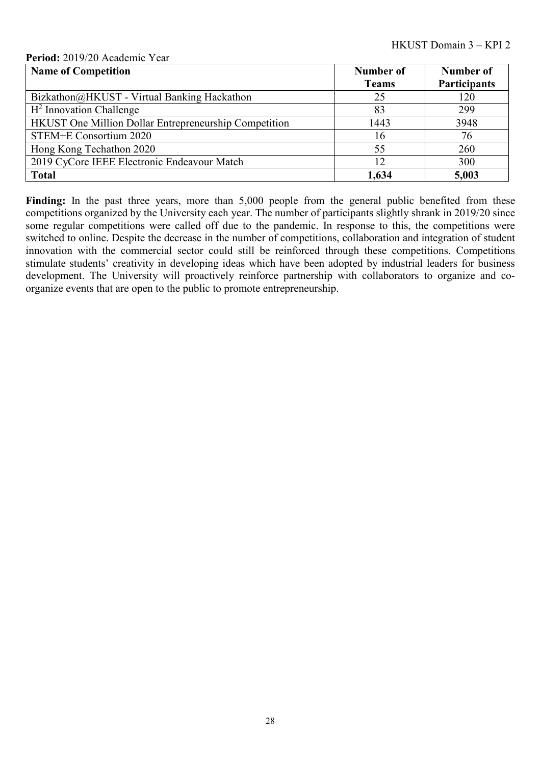#### **Period:** 2019/20 Academic Year

| <b>Name of Competition</b>                            | Number of    | <b>Number of</b>    |
|-------------------------------------------------------|--------------|---------------------|
|                                                       | <b>Teams</b> | <b>Participants</b> |
| Bizkathon@HKUST - Virtual Banking Hackathon           | 25           | 120                 |
| $H2$ Innovation Challenge                             | 83           | 299                 |
| HKUST One Million Dollar Entrepreneurship Competition | 1443         | 3948                |
| STEM+E Consortium 2020                                | 16           | 76                  |
| Hong Kong Techathon 2020                              | 55           | 260                 |
| 2019 CyCore IEEE Electronic Endeavour Match           | 12           | 300                 |
| <b>Total</b>                                          | 1,634        | 5,003               |

Finding: In the past three years, more than 5,000 people from the general public benefited from these competitions organized by the University each year. The number of participants slightly shrank in 2019/20 since some regular competitions were called off due to the pandemic. In response to this, the competitions were switched to online. Despite the decrease in the number of competitions, collaboration and integration of student innovation with the commercial sector could still be reinforced through these competitions. Competitions stimulate students' creativity in developing ideas which have been adopted by industrial leaders for business development. The University will proactively reinforce partnership with collaborators to organize and coorganize events that are open to the public to promote entrepreneurship.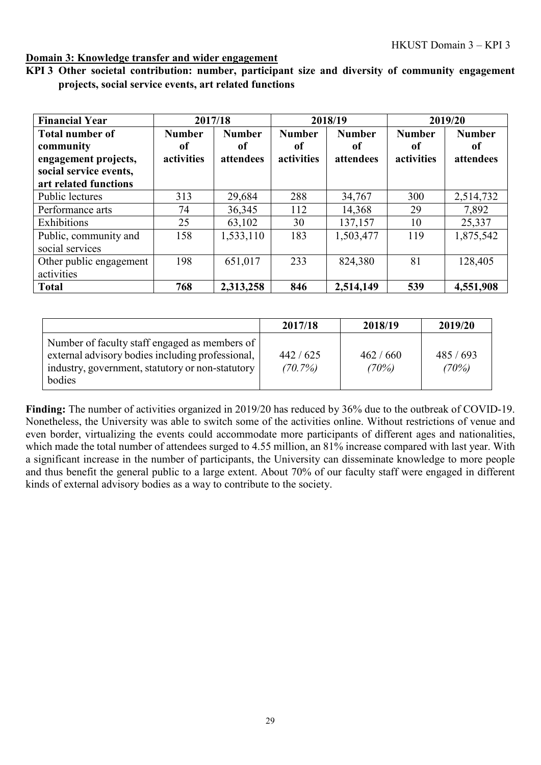|  | KPI 3 Other societal contribution: number, participant size and diversity of community engagement |  |  |  |  |
|--|---------------------------------------------------------------------------------------------------|--|--|--|--|
|  | projects, social service events, art related functions                                            |  |  |  |  |

| <b>Financial Year</b>                                                                                          | 2017/18                                      |                                  |                                   | 2018/19                          |                                   | 2019/20                          |
|----------------------------------------------------------------------------------------------------------------|----------------------------------------------|----------------------------------|-----------------------------------|----------------------------------|-----------------------------------|----------------------------------|
| <b>Total number of</b><br>community<br>engagement projects,<br>social service events,<br>art related functions | <b>Number</b><br><sub>of</sub><br>activities | <b>Number</b><br>0f<br>attendees | <b>Number</b><br>of<br>activities | <b>Number</b><br>of<br>attendees | <b>Number</b><br>of<br>activities | <b>Number</b><br>of<br>attendees |
| Public lectures                                                                                                | 313                                          | 29,684                           | 288                               | 34,767                           | 300                               | 2,514,732                        |
| Performance arts                                                                                               | 74                                           | 36,345                           | 112                               | 14,368                           | 29                                | 7,892                            |
| Exhibitions                                                                                                    | 25                                           | 63,102                           | 30                                | 137,157                          | 10                                | 25,337                           |
| Public, community and<br>social services                                                                       | 158                                          | 1,533,110                        | 183                               | 1,503,477                        | 119                               | 1,875,542                        |
| Other public engagement<br>activities                                                                          | 198                                          | 651,017                          | 233                               | 824,380                          | 81                                | 128,405                          |
| <b>Total</b>                                                                                                   | 768                                          | 2,313,258                        | 846                               | 2,514,149                        | 539                               | 4,551,908                        |

|                                                                                                                                                                 | 2017/18            | 2018/19          | 2019/20          |
|-----------------------------------------------------------------------------------------------------------------------------------------------------------------|--------------------|------------------|------------------|
| Number of faculty staff engaged as members of<br>external advisory bodies including professional,<br>industry, government, statutory or non-statutory<br>bodies | 442/625<br>(70.7%) | 462/660<br>(70%) | 485/693<br>(70%) |

**Finding:** The number of activities organized in 2019/20 has reduced by 36% due to the outbreak of COVID-19. Nonetheless, the University was able to switch some of the activities online. Without restrictions of venue and even border, virtualizing the events could accommodate more participants of different ages and nationalities, which made the total number of attendees surged to 4.55 million, an 81% increase compared with last year. With a significant increase in the number of participants, the University can disseminate knowledge to more people and thus benefit the general public to a large extent. About 70% of our faculty staff were engaged in different kinds of external advisory bodies as a way to contribute to the society.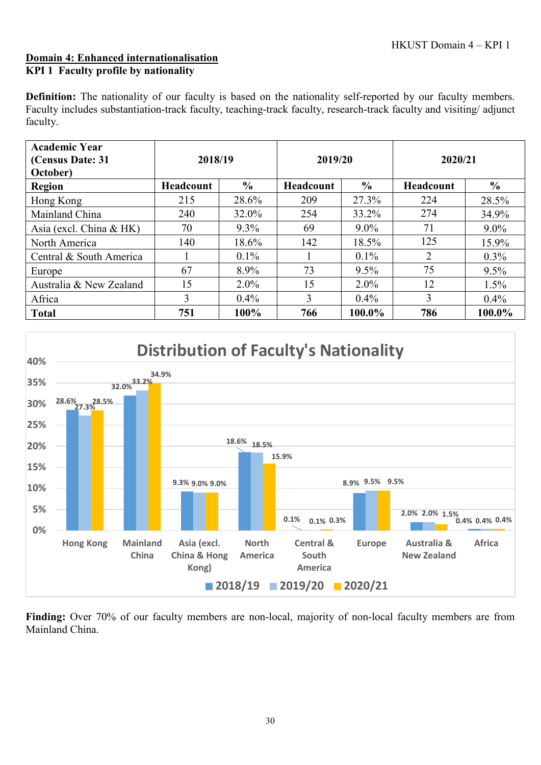#### **Domain 4: Enhanced internationalisation KPI 1 Faculty profile by nationality**

**Definition:** The nationality of our faculty is based on the nationality self-reported by our faculty members. Faculty includes substantiation-track faculty, teaching-track faculty, research-track faculty and visiting/ adjunct faculty.

| <b>Academic Year</b><br>(Census Date: 31<br>October) | 2018/19   |               | 2019/20          |               | 2020/21   |               |
|------------------------------------------------------|-----------|---------------|------------------|---------------|-----------|---------------|
| <b>Region</b>                                        | Headcount | $\frac{0}{0}$ | <b>Headcount</b> | $\frac{6}{9}$ | Headcount | $\frac{6}{9}$ |
| Hong Kong                                            | 215       | 28.6%         | 209              | 27.3%         | 224       | 28.5%         |
| Mainland China                                       | 240       | 32.0%         | 254              | 33.2%         | 274       | 34.9%         |
| Asia (excl. China & HK)                              | 70        | $9.3\%$       | 69               | $9.0\%$       | 71        | $9.0\%$       |
| North America                                        | 140       | 18.6%         | 142              | 18.5%         | 125       | 15.9%         |
| Central & South America                              |           | $0.1\%$       |                  | $0.1\%$       | 2         | $0.3\%$       |
| Europe                                               | 67        | 8.9%          | 73               | $9.5\%$       | 75        | 9.5%          |
| Australia & New Zealand                              | 15        | $2.0\%$       | 15               | $2.0\%$       | 12        | 1.5%          |
| Africa                                               | 3         | $0.4\%$       | 3                | $0.4\%$       | 3         | $0.4\%$       |
| <b>Total</b>                                         | 751       | 100%          | 766              | 100.0%        | 786       | 100.0%        |



**Finding:** Over 70% of our faculty members are non-local, majority of non-local faculty members are from Mainland China.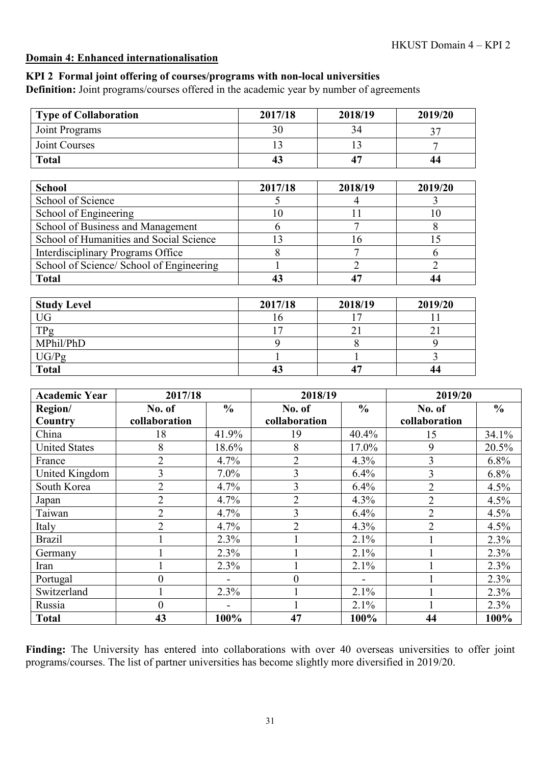### **Domain 4: Enhanced internationalisation**

### **KPI 2 Formal joint offering of courses/programs with non-local universities**

**Definition:** Joint programs/courses offered in the academic year by number of agreements

| <b>Type of Collaboration</b>             | 2017/18 | 2018/19        | 2019/20        |
|------------------------------------------|---------|----------------|----------------|
| Joint Programs                           | 30      | 34             | 37             |
| Joint Courses                            | 13      | 13             | 7              |
| <b>Total</b>                             | 43      | 47             | 44             |
|                                          |         |                |                |
| <b>School</b>                            | 2017/18 | 2018/19        | 2019/20        |
| School of Science                        | 5       | 4              | 3              |
| School of Engineering                    | 10      | 11             | 10             |
| School of Business and Management        | 6       | 7              | 8              |
| School of Humanities and Social Science  | 13      | 16             | 15             |
| Interdisciplinary Programs Office        | 8       |                | 6              |
| School of Science/ School of Engineering |         | $\overline{2}$ | $\overline{2}$ |
| <b>Total</b>                             | 43      | 47             | 44             |
|                                          |         |                |                |
| <b>Study Level</b>                       | 2017/18 | 2018/19        | 2019/20        |
| <b>UG</b>                                | 16      | 17             |                |
| $TD_{\alpha}$                            | 17      | 21             | 21             |

| $T \cap$      |    |            |              |
|---------------|----|------------|--------------|
| $TP_{\sigma}$ | -  |            |              |
| MPhil/PhD     |    |            |              |
| UG/Pg         |    |            |              |
| <b>Total</b>  | 43 | $\prime$ . | $\sim$<br>┱┑ |

| <b>Academic Year</b> | 2017/18        |               | 2018/19        |               | 2019/20        |               |
|----------------------|----------------|---------------|----------------|---------------|----------------|---------------|
| Region/              | No. of         | $\frac{6}{9}$ | No. of         | $\frac{6}{9}$ | No. of         | $\frac{6}{6}$ |
| Country              | collaboration  |               | collaboration  |               | collaboration  |               |
| China                | 18             | 41.9%         | 19             | 40.4%         | 15             | 34.1%         |
| <b>United States</b> | 8              | 18.6%         | 8              | 17.0%         | 9              | 20.5%         |
| France               | $\overline{2}$ | 4.7%          | $\overline{2}$ | 4.3%          | 3              | 6.8%          |
| United Kingdom       | 3              | $7.0\%$       | 3              | 6.4%          | 3              | 6.8%          |
| South Korea          | $\overline{2}$ | 4.7%          | 3              | 6.4%          | $\overline{2}$ | 4.5%          |
| Japan                | $\overline{2}$ | 4.7%          | $\overline{2}$ | 4.3%          | $\overline{2}$ | 4.5%          |
| Taiwan               | $\overline{2}$ | 4.7%          | 3              | 6.4%          | $\overline{2}$ | 4.5%          |
| Italy                | $\overline{2}$ | 4.7%          | $\overline{2}$ | 4.3%          | $\overline{2}$ | 4.5%          |
| <b>Brazil</b>        |                | 2.3%          |                | 2.1%          |                | 2.3%          |
| Germany              |                | 2.3%          |                | 2.1%          |                | 2.3%          |
| Iran                 |                | 2.3%          |                | 2.1%          |                | 2.3%          |
| Portugal             | $\theta$       |               | $\theta$       |               |                | 2.3%          |
| Switzerland          |                | 2.3%          |                | 2.1%          |                | 2.3%          |
| Russia               | $\Omega$       |               |                | 2.1%          |                | 2.3%          |
| <b>Total</b>         | 43             | 100%          | 47             | 100%          | 44             | 100%          |

Finding: The University has entered into collaborations with over 40 overseas universities to offer joint programs/courses. The list of partner universities has become slightly more diversified in 2019/20.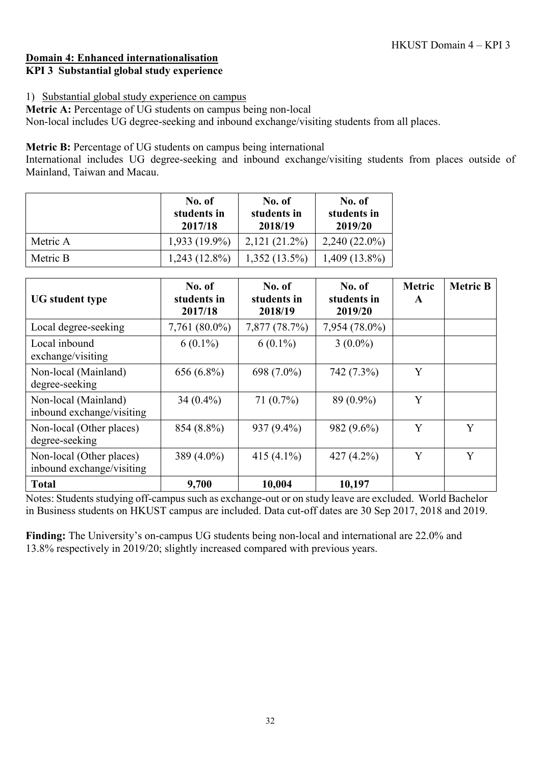### **Domain 4: Enhanced internationalisation KPI 3 Substantial global study experience**

### 1) Substantial global study experience on campus

**Metric A:** Percentage of UG students on campus being non-local Non-local includes UG degree-seeking and inbound exchange/visiting students from all places.

**Metric B:** Percentage of UG students on campus being international

International includes UG degree-seeking and inbound exchange/visiting students from places outside of Mainland, Taiwan and Macau.

|          | No. of<br>students in<br>2017/18 | No. of<br>students in<br>2018/19 | No. of<br>students in<br>2019/20 |
|----------|----------------------------------|----------------------------------|----------------------------------|
| Metric A | $1,933(19.9\%)$                  | $2,121(21.2\%)$                  | $2,240(22.0\%)$                  |
| Metric B | $1,243(12.8\%)$                  | $1,352(13.5\%)$                  | $1,409(13.8\%)$                  |

| <b>UG</b> student type                                | No. of<br>students in<br>2017/18 | No. of<br>students in<br>2018/19 | No. of<br>students in<br>2019/20 | <b>Metric</b><br>$\mathbf{A}$ | <b>Metric B</b> |
|-------------------------------------------------------|----------------------------------|----------------------------------|----------------------------------|-------------------------------|-----------------|
| Local degree-seeking                                  | 7,761 (80.0%)                    | 7,877 (78.7%)                    | 7,954 (78.0%)                    |                               |                 |
| Local inbound<br>exchange/visiting                    | $6(0.1\%)$                       | $6(0.1\%)$                       | $3(0.0\%)$                       |                               |                 |
| Non-local (Mainland)<br>degree-seeking                | 656 (6.8%)                       | 698 (7.0%)                       | 742 (7.3%)                       | Y                             |                 |
| Non-local (Mainland)<br>inbound exchange/visiting     | 34 $(0.4\%)$                     | $71(0.7\%)$                      | 89 (0.9%)                        | Y                             |                 |
| Non-local (Other places)<br>degree-seeking            | 854 (8.8%)                       | $937(9.4\%)$                     | 982 (9.6%)                       | Y                             | Y               |
| Non-local (Other places)<br>inbound exchange/visiting | 389 (4.0%)                       | 415 $(4.1\%)$                    | 427 $(4.2\%)$                    | Y                             | Y               |
| <b>Total</b>                                          | 9,700                            | 10,004                           | 10,197                           |                               |                 |

Notes: Students studying off-campus such as exchange-out or on study leave are excluded. World Bachelor in Business students on HKUST campus are included. Data cut-off dates are 30 Sep 2017, 2018 and 2019.

**Finding:** The University's on-campus UG students being non-local and international are 22.0% and 13.8% respectively in 2019/20; slightly increased compared with previous years.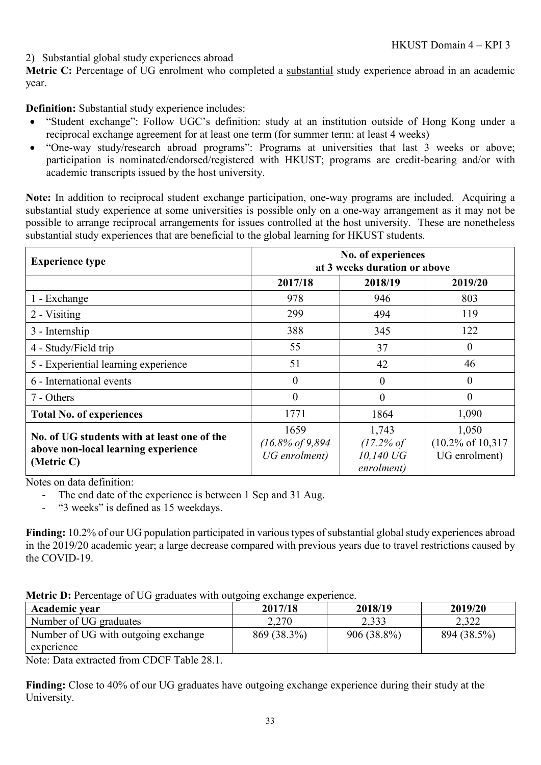#### 2) Substantial global study experiences abroad

**Metric C:** Percentage of UG enrolment who completed a substantial study experience abroad in an academic year.

**Definition:** Substantial study experience includes:

- "Student exchange": Follow UGC's definition: study at an institution outside of Hong Kong under a reciprocal exchange agreement for at least one term (for summer term: at least 4 weeks)
- "One-way study/research abroad programs": Programs at universities that last 3 weeks or above; participation is nominated/endorsed/registered with HKUST; programs are credit-bearing and/or with academic transcripts issued by the host university.

**Note:** In addition to reciprocal student exchange participation, one-way programs are included. Acquiring a substantial study experience at some universities is possible only on a one-way arrangement as it may not be possible to arrange reciprocal arrangements for issues controlled at the host university. These are nonetheless substantial study experiences that are beneficial to the global learning for HKUST students.

| <b>Experience type</b>                                                                           | No. of experiences<br>at 3 weeks duration or above |                                                           |                                                         |  |
|--------------------------------------------------------------------------------------------------|----------------------------------------------------|-----------------------------------------------------------|---------------------------------------------------------|--|
|                                                                                                  | 2017/18                                            | 2018/19                                                   | 2019/20                                                 |  |
| 1 - Exchange                                                                                     | 978                                                | 946                                                       | 803                                                     |  |
| 2 - Visiting                                                                                     | 299                                                | 494                                                       | 119                                                     |  |
| 3 - Internship                                                                                   | 388                                                | 345                                                       | 122                                                     |  |
| 4 - Study/Field trip                                                                             | 55                                                 | 37                                                        | $\theta$                                                |  |
| 5 - Experiential learning experience                                                             | 51                                                 | 42                                                        | 46                                                      |  |
| 6 - International events                                                                         | 0                                                  | $\overline{0}$                                            | $\theta$                                                |  |
| 7 - Others                                                                                       | 0                                                  | $\theta$                                                  | $\overline{0}$                                          |  |
| <b>Total No. of experiences</b>                                                                  | 1771                                               | 1864                                                      | 1,090                                                   |  |
| No. of UG students with at least one of the<br>above non-local learning experience<br>(Metric C) | 1659<br>$(16.8\% of 9.894)$<br>UG enrolment)       | 1,743<br>$(17.2\% \text{ of }$<br>10,140 UG<br>enrolment) | 1,050<br>$(10.2\% \text{ of } 10,317)$<br>UG enrolment) |  |

Notes on data definition:

- The end date of the experience is between 1 Sep and 31 Aug.
- "3 weeks" is defined as 15 weekdays.

**Finding:** 10.2% of our UG population participated in various types of substantial global study experiences abroad in the 2019/20 academic year; a large decrease compared with previous years due to travel restrictions caused by the COVID-19.

|  |  |  | Metric D: Percentage of UG graduates with outgoing exchange experience. |
|--|--|--|-------------------------------------------------------------------------|
|  |  |  |                                                                         |

| Academic year                       | 2017/18     | 2018/19       | 2019/20     |
|-------------------------------------|-------------|---------------|-------------|
| Number of UG graduates              | 2,270       | 2,333         | 2,322       |
| Number of UG with outgoing exchange | 869 (38.3%) | $906(38.8\%)$ | 894 (38.5%) |
| experience                          |             |               |             |

Note: Data extracted from CDCF Table 28.1.

**Finding:** Close to 40% of our UG graduates have outgoing exchange experience during their study at the University.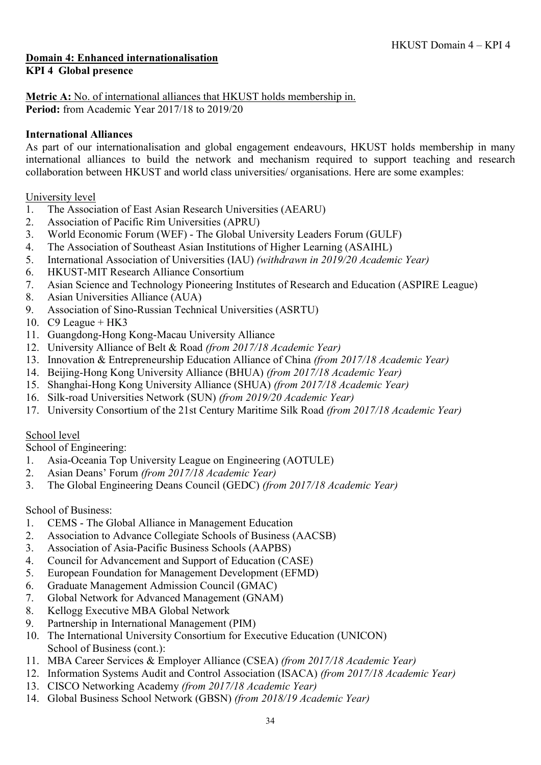#### **Domain 4: Enhanced internationalisation KPI 4 Global presence**

**Metric A:** No. of international alliances that HKUST holds membership in. **Period:** from Academic Year 2017/18 to 2019/20

### **International Alliances**

As part of our internationalisation and global engagement endeavours, HKUST holds membership in many international alliances to build the network and mechanism required to support teaching and research collaboration between HKUST and world class universities/ organisations. Here are some examples:

University level

- 1. The Association of East Asian Research Universities (AEARU)
- 2. Association of Pacific Rim Universities (APRU)
- 3. World Economic Forum (WEF) The Global University Leaders Forum (GULF)
- 4. The Association of Southeast Asian Institutions of Higher Learning (ASAIHL)
- 5. International Association of Universities (IAU) *(withdrawn in 2019/20 Academic Year)*
- 6. HKUST-MIT Research Alliance Consortium
- 7. Asian Science and Technology Pioneering Institutes of Research and Education (ASPIRE League)
- 8. Asian Universities Alliance (AUA)
- 9. Association of Sino-Russian Technical Universities (ASRTU)
- 10. C9 League  $+HK3$
- 11. Guangdong-Hong Kong-Macau University Alliance
- 12. University Alliance of Belt & Road *(from 2017/18 Academic Year)*
- 13. Innovation & Entrepreneurship Education Alliance of China *(from 2017/18 Academic Year)*
- 14. Beijing-Hong Kong University Alliance (BHUA) *(from 2017/18 Academic Year)*
- 15. Shanghai-Hong Kong University Alliance (SHUA) *(from 2017/18 Academic Year)*
- 16. Silk-road Universities Network (SUN) *(from 2019/20 Academic Year)*
- 17. University Consortium of the 21st Century Maritime Silk Road *(from 2017/18 Academic Year)*

#### School level

School of Engineering:

- 1. Asia-Oceania Top University League on Engineering (AOTULE)
- 2. Asian Deans' Forum *(from 2017/18 Academic Year)*
- 3. The Global Engineering Deans Council (GEDC) *(from 2017/18 Academic Year)*

School of Business:

- 1. CEMS The Global Alliance in Management Education
- 2. Association to Advance Collegiate Schools of Business (AACSB)
- 3. Association of Asia-Pacific Business Schools (AAPBS)
- 4. Council for Advancement and Support of Education (CASE)
- 5. European Foundation for Management Development (EFMD)
- 6. Graduate Management Admission Council (GMAC)
- 7. Global Network for Advanced Management (GNAM)
- 8. Kellogg Executive MBA Global Network
- 9. Partnership in International Management (PIM)
- 10. The International University Consortium for Executive Education (UNICON) School of Business (cont.):
- 11. MBA Career Services & Employer Alliance (CSEA) *(from 2017/18 Academic Year)*
- 12. Information Systems Audit and Control Association (ISACA) *(from 2017/18 Academic Year)*
- 13. CISCO Networking Academy *(from 2017/18 Academic Year)*
- 14. Global Business School Network (GBSN) *(from 2018/19 Academic Year)*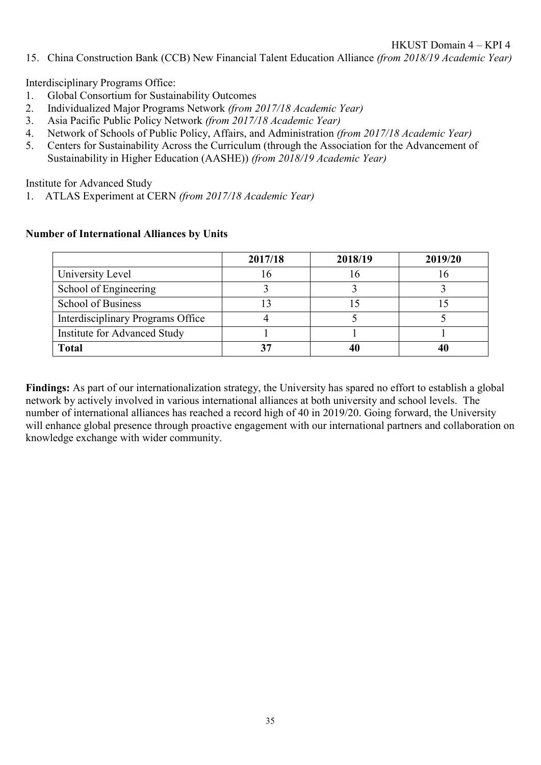15. China Construction Bank (CCB) New Financial Talent Education Alliance *(from 2018/19 Academic Year)*

Interdisciplinary Programs Office:

- 1. Global Consortium for Sustainability Outcomes
- 2. Individualized Major Programs Network *(from 2017/18 Academic Year)*
- 3. Asia Pacific Public Policy Network *(from 2017/18 Academic Year)*
- 4. Network of Schools of Public Policy, Affairs, and Administration *(from 2017/18 Academic Year)*
- 5. Centers for Sustainability Across the Curriculum (through the Association for the Advancement of Sustainability in Higher Education (AASHE)) *(from 2018/19 Academic Year)*

Institute for Advanced Study

1. ATLAS Experiment at CERN *(from 2017/18 Academic Year)*

|                                   | 2017/18 | 2018/19 | 2019/20 |
|-----------------------------------|---------|---------|---------|
| University Level                  |         |         |         |
| School of Engineering             |         |         |         |
| <b>School of Business</b>         |         |         |         |
| Interdisciplinary Programs Office |         |         |         |
| Institute for Advanced Study      |         |         |         |
| <b>Total</b>                      |         |         |         |

#### **Number of International Alliances by Units**

**Findings:** As part of our internationalization strategy, the University has spared no effort to establish a global network by actively involved in various international alliances at both university and school levels. The number of international alliances has reached a record high of 40 in 2019/20. Going forward, the University will enhance global presence through proactive engagement with our international partners and collaboration on knowledge exchange with wider community.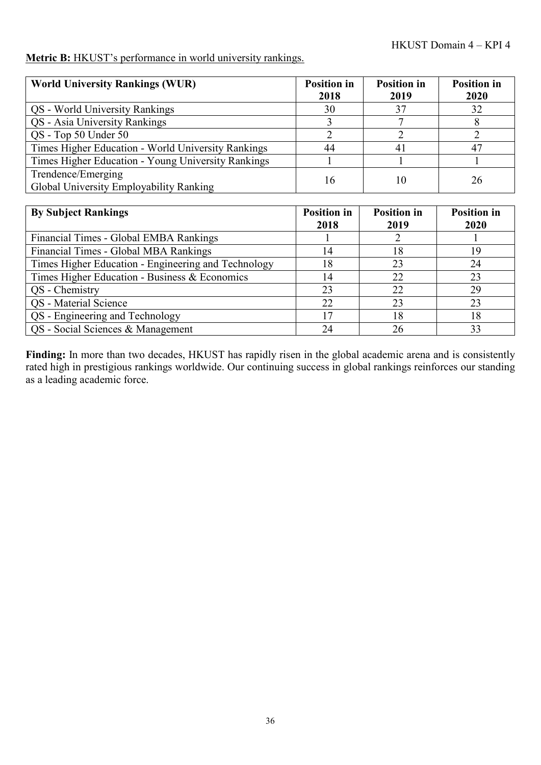**Metric B:** HKUST's performance in world university rankings.

| <b>World University Rankings (WUR)</b>                        | <b>Position</b> in<br>2018 | <b>Position in</b><br>2019 | <b>Position in</b><br>2020 |
|---------------------------------------------------------------|----------------------------|----------------------------|----------------------------|
| QS - World University Rankings                                | 30                         | 37                         | 32                         |
| QS - Asia University Rankings                                 |                            |                            |                            |
| QS - Top 50 Under 50                                          |                            |                            |                            |
| Times Higher Education - World University Rankings            | 44                         |                            | 47                         |
| Times Higher Education - Young University Rankings            |                            |                            |                            |
| Trendence/Emerging<br>Global University Employability Ranking | 16                         |                            | 26                         |

| <b>By Subject Rankings</b>                          | <b>Position</b> in<br>2018 | <b>Position in</b><br>2019 | <b>Position</b> in<br>2020 |
|-----------------------------------------------------|----------------------------|----------------------------|----------------------------|
| Financial Times - Global EMBA Rankings              |                            |                            |                            |
| Financial Times - Global MBA Rankings               | 14                         | 18                         | 19                         |
| Times Higher Education - Engineering and Technology | 18                         | 23                         | 24                         |
| Times Higher Education - Business & Economics       | 14                         | 22                         | 23                         |
| QS - Chemistry                                      | 23                         | 22                         | 29                         |
| <b>QS</b> - Material Science                        | 22                         | 23                         | 23                         |
| QS - Engineering and Technology                     | 17                         | 18                         | 18                         |
| QS - Social Sciences & Management                   | 24                         | 26                         | 33                         |

**Finding:** In more than two decades, HKUST has rapidly risen in the global academic arena and is consistently rated high in prestigious rankings worldwide. Our continuing success in global rankings reinforces our standing as a leading academic force.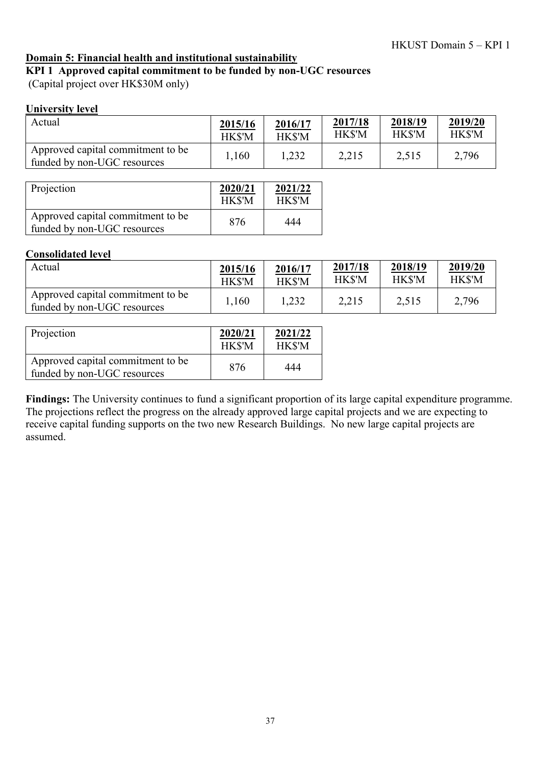#### **Domain 5: Financial health and institutional sustainability**

**KPI 1 Approved capital commitment to be funded by non-UGC resources**

(Capital project over HK\$30M only)

#### **University level**

| Actual                                                           | 2015/16 | 2016/17 | 2017/18 | 2018/19 | 2019/20 |
|------------------------------------------------------------------|---------|---------|---------|---------|---------|
|                                                                  | HK\$'M  | HK\$'M  | HK\$'M  | HK\$'M  | HK\$'M  |
| Approved capital commitment to be<br>funded by non-UGC resources | .,160   | 1,232   | 2,215   | 2,515   | 2,796   |

| Projection                                                       | 2020/21<br>HK\$'M | 2021/22<br>HK\$'M |
|------------------------------------------------------------------|-------------------|-------------------|
| Approved capital commitment to be<br>funded by non-UGC resources | 876               | 444               |

#### **Consolidated level**

| Actual                                                           | 2015/16       | 2016/17 | 2017/18 | 2018/19       | 2019/20 |
|------------------------------------------------------------------|---------------|---------|---------|---------------|---------|
|                                                                  | <b>HK\$'M</b> | HK\$'M  | HK\$'M  | <b>HK\$'M</b> | HK\$'M  |
| Approved capital commitment to be<br>funded by non-UGC resources | 1,160         | 1,232   | 2,215   | 2,515         | 2,796   |

| Projection                                                       | 2020/21<br><b>HKS'M</b> | 2021/22<br>HK\$'M |
|------------------------------------------------------------------|-------------------------|-------------------|
| Approved capital commitment to be<br>funded by non-UGC resources | 876                     | 444               |

**Findings:** The University continues to fund a significant proportion of its large capital expenditure programme. The projections reflect the progress on the already approved large capital projects and we are expecting to receive capital funding supports on the two new Research Buildings. No new large capital projects are assumed.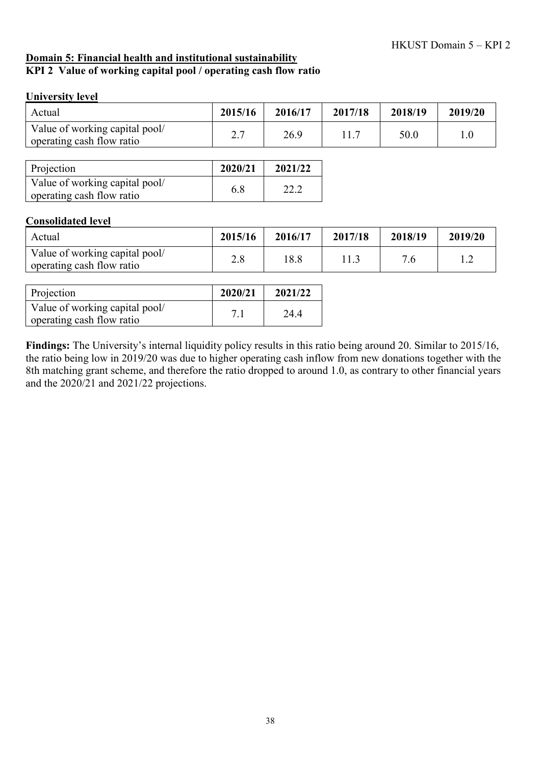#### **Domain 5: Financial health and institutional sustainability KPI 2 Value of working capital pool / operating cash flow ratio**

#### **University level**

| Actual                                                      | 2015/16 | 2016/17 | 2017/18 | 2018/19 | 2019/20 |
|-------------------------------------------------------------|---------|---------|---------|---------|---------|
| Value of working capital pool/<br>operating cash flow ratio | 2.7     | 26.9    | 11.7    | 50.0    | 1.0     |
|                                                             |         |         |         |         |         |
| Projection                                                  | 2020/21 | 2021/22 |         |         |         |
| Value of working capital pool/<br>operating cash flow ratio | 6.8     | 22.2    |         |         |         |
| <b>Consolidated level</b>                                   |         |         |         |         |         |
| Actual                                                      | 2015/16 | 2016/17 | 2017/18 | 2018/19 | 2019/20 |

| Actual                                                      | 2015/16 | 2016/17 | 2017/18 | 2018/19                    | 2019/20 |
|-------------------------------------------------------------|---------|---------|---------|----------------------------|---------|
| Value of working capital pool/<br>operating cash flow ratio | 2.0     | 18.8    |         | $\overline{\phantom{a}}$ . | ⊥ .∠    |

| Projection                                                  | 2020/21 | 2021/22 |
|-------------------------------------------------------------|---------|---------|
| Value of working capital pool/<br>operating cash flow ratio | 7.1     | 24.4    |

**Findings:** The University's internal liquidity policy results in this ratio being around 20. Similar to 2015/16, the ratio being low in 2019/20 was due to higher operating cash inflow from new donations together with the 8th matching grant scheme, and therefore the ratio dropped to around 1.0, as contrary to other financial years and the 2020/21 and 2021/22 projections.